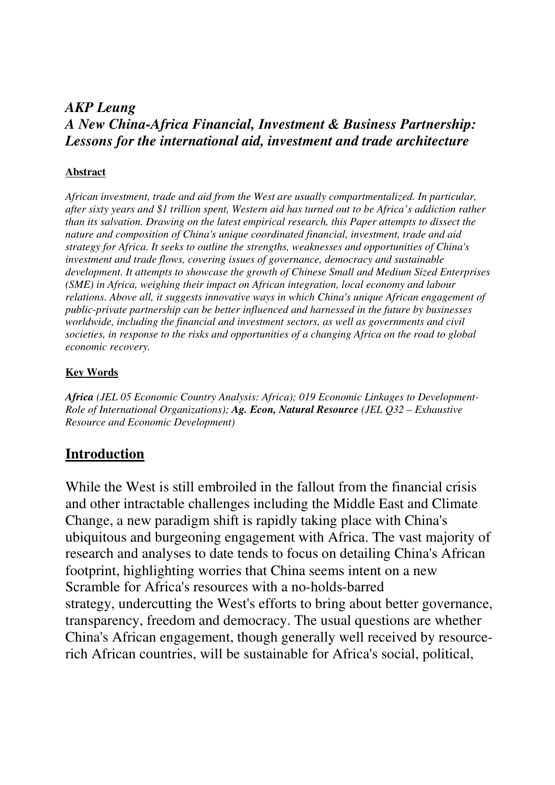#### *AKP Leung A New China-Africa Financial, Investment & Business Partnership: Lessons for the international aid, investment and trade architecture*

#### **Abstract**

*African investment, trade and aid from the West are usually compartmentalized. In particular, after sixty years and \$1 trillion spent, Western aid has turned out to be Africa's addiction rather than its salvation. Drawing on the latest empirical research, this Paper attempts to dissect the nature and composition of China's unique coordinated financial, investment, trade and aid strategy for Africa. It seeks to outline the strengths, weaknesses and opportunities of China's investment and trade flows, covering issues of governance, democracy and sustainable development. It attempts to showcase the growth of Chinese Small and Medium Sized Enterprises (SME) in Africa, weighing their impact on African integration, local economy and labour relations. Above all, it suggests innovative ways in which China's unique African engagement of public-private partnership can be better influenced and harnessed in the future by businesses worldwide, including the financial and investment sectors, as well as governments and civil societies, in response to the risks and opportunities of a changing Africa on the road to global economic recovery.* 

#### **Key Words**

*Africa (JEL 05 Economic Country Analysis: Africa); 019 Economic Linkages to Development-Role of International Organizations); Ag. Econ, Natural Resource (JEL Q32 – Exhaustive Resource and Economic Development)* 

#### **Introduction**

While the West is still embroiled in the fallout from the financial crisis and other intractable challenges including the Middle East and Climate Change, a new paradigm shift is rapidly taking place with China's ubiquitous and burgeoning engagement with Africa. The vast majority of research and analyses to date tends to focus on detailing China's African footprint, highlighting worries that China seems intent on a new Scramble for Africa's resources with a no-holds-barred strategy, undercutting the West's efforts to bring about better governance, transparency, freedom and democracy. The usual questions are whether China's African engagement, though generally well received by resourcerich African countries, will be sustainable for Africa's social, political,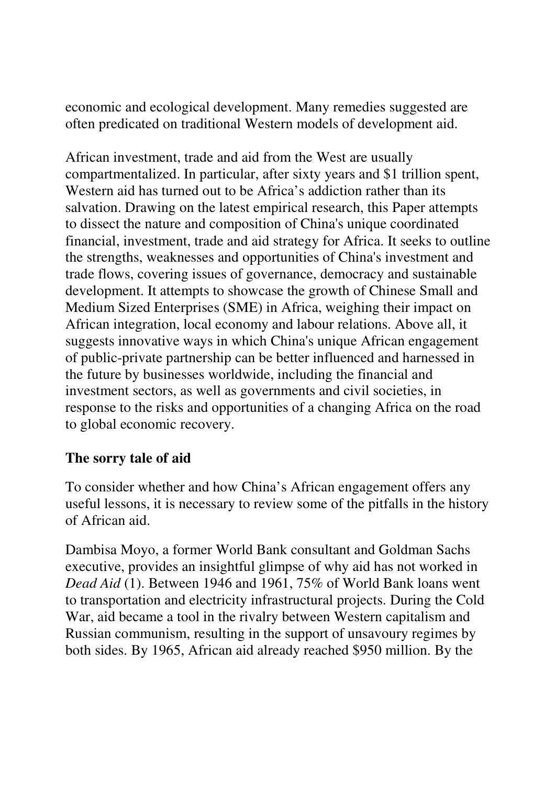economic and ecological development. Many remedies suggested are often predicated on traditional Western models of development aid.

African investment, trade and aid from the West are usually compartmentalized. In particular, after sixty years and \$1 trillion spent, Western aid has turned out to be Africa's addiction rather than its salvation. Drawing on the latest empirical research, this Paper attempts to dissect the nature and composition of China's unique coordinated financial, investment, trade and aid strategy for Africa. It seeks to outline the strengths, weaknesses and opportunities of China's investment and trade flows, covering issues of governance, democracy and sustainable development. It attempts to showcase the growth of Chinese Small and Medium Sized Enterprises (SME) in Africa, weighing their impact on African integration, local economy and labour relations. Above all, it suggests innovative ways in which China's unique African engagement of public-private partnership can be better influenced and harnessed in the future by businesses worldwide, including the financial and investment sectors, as well as governments and civil societies, in response to the risks and opportunities of a changing Africa on the road to global economic recovery.

# **The sorry tale of aid**

To consider whether and how China's African engagement offers any useful lessons, it is necessary to review some of the pitfalls in the history of African aid.

Dambisa Moyo, a former World Bank consultant and Goldman Sachs executive, provides an insightful glimpse of why aid has not worked in *Dead Aid* (1). Between 1946 and 1961, 75% of World Bank loans went to transportation and electricity infrastructural projects. During the Cold War, aid became a tool in the rivalry between Western capitalism and Russian communism, resulting in the support of unsavoury regimes by both sides. By 1965, African aid already reached \$950 million. By the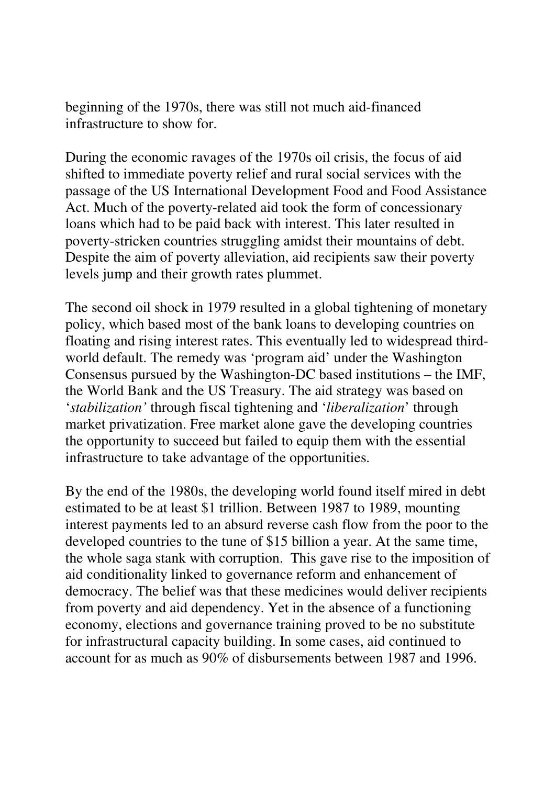beginning of the 1970s, there was still not much aid-financed infrastructure to show for.

During the economic ravages of the 1970s oil crisis, the focus of aid shifted to immediate poverty relief and rural social services with the passage of the US International Development Food and Food Assistance Act. Much of the poverty-related aid took the form of concessionary loans which had to be paid back with interest. This later resulted in poverty-stricken countries struggling amidst their mountains of debt. Despite the aim of poverty alleviation, aid recipients saw their poverty levels jump and their growth rates plummet.

The second oil shock in 1979 resulted in a global tightening of monetary policy, which based most of the bank loans to developing countries on floating and rising interest rates. This eventually led to widespread thirdworld default. The remedy was 'program aid' under the Washington Consensus pursued by the Washington-DC based institutions – the IMF, the World Bank and the US Treasury. The aid strategy was based on '*stabilization'* through fiscal tightening and '*liberalization*' through market privatization. Free market alone gave the developing countries the opportunity to succeed but failed to equip them with the essential infrastructure to take advantage of the opportunities.

By the end of the 1980s, the developing world found itself mired in debt estimated to be at least \$1 trillion. Between 1987 to 1989, mounting interest payments led to an absurd reverse cash flow from the poor to the developed countries to the tune of \$15 billion a year. At the same time, the whole saga stank with corruption. This gave rise to the imposition of aid conditionality linked to governance reform and enhancement of democracy. The belief was that these medicines would deliver recipients from poverty and aid dependency. Yet in the absence of a functioning economy, elections and governance training proved to be no substitute for infrastructural capacity building. In some cases, aid continued to account for as much as 90% of disbursements between 1987 and 1996.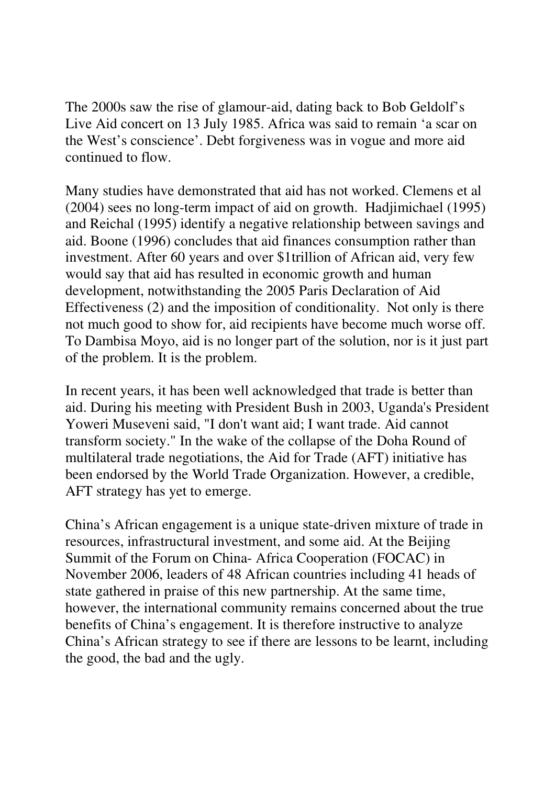The 2000s saw the rise of glamour-aid, dating back to Bob Geldolf's Live Aid concert on 13 July 1985. Africa was said to remain 'a scar on the West's conscience'. Debt forgiveness was in vogue and more aid continued to flow.

Many studies have demonstrated that aid has not worked. Clemens et al (2004) sees no long-term impact of aid on growth. Hadjimichael (1995) and Reichal (1995) identify a negative relationship between savings and aid. Boone (1996) concludes that aid finances consumption rather than investment. After 60 years and over \$1trillion of African aid, very few would say that aid has resulted in economic growth and human development, notwithstanding the 2005 Paris Declaration of Aid Effectiveness (2) and the imposition of conditionality. Not only is there not much good to show for, aid recipients have become much worse off. To Dambisa Moyo, aid is no longer part of the solution, nor is it just part of the problem. It is the problem.

In recent years, it has been well acknowledged that trade is better than aid. During his meeting with President Bush in 2003, Uganda's President Yoweri Museveni said, "I don't want aid; I want trade. Aid cannot transform society." In the wake of the collapse of the Doha Round of multilateral trade negotiations, the Aid for Trade (AFT) initiative has been endorsed by the World Trade Organization. However, a credible, AFT strategy has yet to emerge.

China's African engagement is a unique state-driven mixture of trade in resources, infrastructural investment, and some aid. At the Beijing Summit of the Forum on China- Africa Cooperation (FOCAC) in November 2006, leaders of 48 African countries including 41 heads of state gathered in praise of this new partnership. At the same time, however, the international community remains concerned about the true benefits of China's engagement. It is therefore instructive to analyze China's African strategy to see if there are lessons to be learnt, including the good, the bad and the ugly.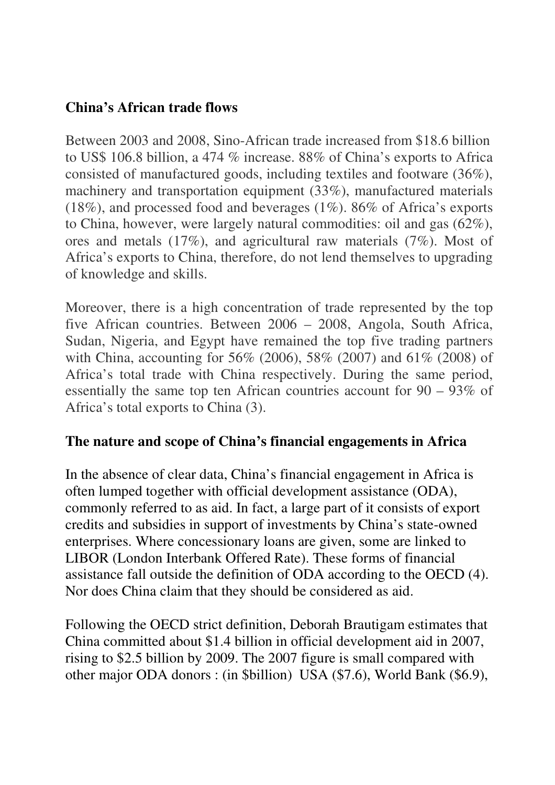#### **China's African trade flows**

Between 2003 and 2008, Sino-African trade increased from \$18.6 billion to US\$ 106.8 billion, a 474 % increase. 88% of China's exports to Africa consisted of manufactured goods, including textiles and footware (36%), machinery and transportation equipment (33%), manufactured materials (18%), and processed food and beverages (1%). 86% of Africa's exports to China, however, were largely natural commodities: oil and gas (62%), ores and metals (17%), and agricultural raw materials (7%). Most of Africa's exports to China, therefore, do not lend themselves to upgrading of knowledge and skills.

Moreover, there is a high concentration of trade represented by the top five African countries. Between 2006 – 2008, Angola, South Africa, Sudan, Nigeria, and Egypt have remained the top five trading partners with China, accounting for 56% (2006), 58% (2007) and 61% (2008) of Africa's total trade with China respectively. During the same period, essentially the same top ten African countries account for 90 – 93% of Africa's total exports to China (3).

# **The nature and scope of China's financial engagements in Africa**

In the absence of clear data, China's financial engagement in Africa is often lumped together with official development assistance (ODA), commonly referred to as aid. In fact, a large part of it consists of export credits and subsidies in support of investments by China's state-owned enterprises. Where concessionary loans are given, some are linked to LIBOR (London Interbank Offered Rate). These forms of financial assistance fall outside the definition of ODA according to the OECD (4). Nor does China claim that they should be considered as aid.

Following the OECD strict definition, Deborah Brautigam estimates that China committed about \$1.4 billion in official development aid in 2007, rising to \$2.5 billion by 2009. The 2007 figure is small compared with other major ODA donors : (in \$billion) USA (\$7.6), World Bank (\$6.9),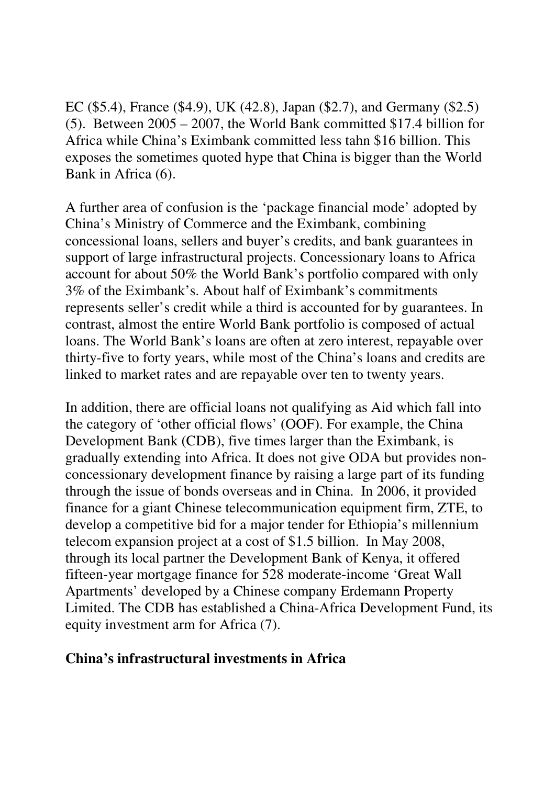EC (\$5.4), France (\$4.9), UK (42.8), Japan (\$2.7), and Germany (\$2.5) (5). Between 2005 – 2007, the World Bank committed \$17.4 billion for Africa while China's Eximbank committed less tahn \$16 billion. This exposes the sometimes quoted hype that China is bigger than the World Bank in Africa (6).

A further area of confusion is the 'package financial mode' adopted by China's Ministry of Commerce and the Eximbank, combining concessional loans, sellers and buyer's credits, and bank guarantees in support of large infrastructural projects. Concessionary loans to Africa account for about 50% the World Bank's portfolio compared with only 3% of the Eximbank's. About half of Eximbank's commitments represents seller's credit while a third is accounted for by guarantees. In contrast, almost the entire World Bank portfolio is composed of actual loans. The World Bank's loans are often at zero interest, repayable over thirty-five to forty years, while most of the China's loans and credits are linked to market rates and are repayable over ten to twenty years.

In addition, there are official loans not qualifying as Aid which fall into the category of 'other official flows' (OOF). For example, the China Development Bank (CDB), five times larger than the Eximbank, is gradually extending into Africa. It does not give ODA but provides nonconcessionary development finance by raising a large part of its funding through the issue of bonds overseas and in China. In 2006, it provided finance for a giant Chinese telecommunication equipment firm, ZTE, to develop a competitive bid for a major tender for Ethiopia's millennium telecom expansion project at a cost of \$1.5 billion. In May 2008, through its local partner the Development Bank of Kenya, it offered fifteen-year mortgage finance for 528 moderate-income 'Great Wall Apartments' developed by a Chinese company Erdemann Property Limited. The CDB has established a China-Africa Development Fund, its equity investment arm for Africa (7).

#### **China's infrastructural investments in Africa**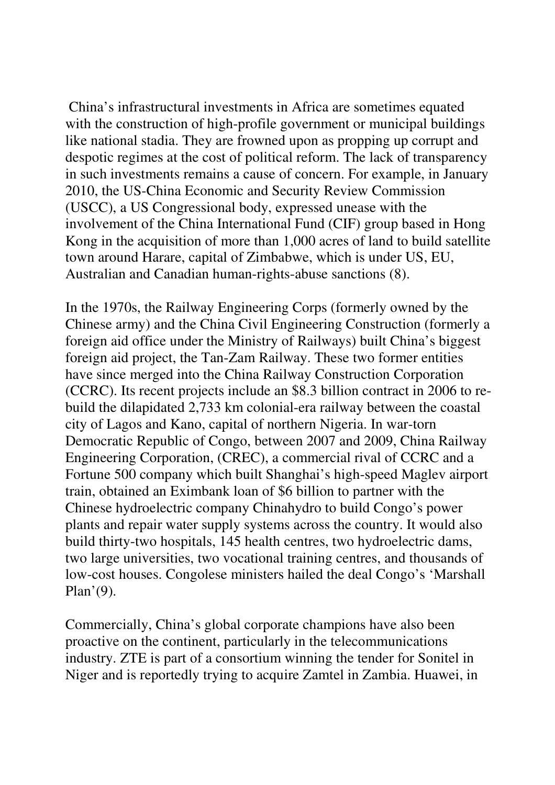China's infrastructural investments in Africa are sometimes equated with the construction of high-profile government or municipal buildings like national stadia. They are frowned upon as propping up corrupt and despotic regimes at the cost of political reform. The lack of transparency in such investments remains a cause of concern. For example, in January 2010, the US-China Economic and Security Review Commission (USCC), a US Congressional body, expressed unease with the involvement of the China International Fund (CIF) group based in Hong Kong in the acquisition of more than 1,000 acres of land to build satellite town around Harare, capital of Zimbabwe, which is under US, EU, Australian and Canadian human-rights-abuse sanctions (8).

In the 1970s, the Railway Engineering Corps (formerly owned by the Chinese army) and the China Civil Engineering Construction (formerly a foreign aid office under the Ministry of Railways) built China's biggest foreign aid project, the Tan-Zam Railway. These two former entities have since merged into the China Railway Construction Corporation (CCRC). Its recent projects include an \$8.3 billion contract in 2006 to rebuild the dilapidated 2,733 km colonial-era railway between the coastal city of Lagos and Kano, capital of northern Nigeria. In war-torn Democratic Republic of Congo, between 2007 and 2009, China Railway Engineering Corporation, (CREC), a commercial rival of CCRC and a Fortune 500 company which built Shanghai's high-speed Maglev airport train, obtained an Eximbank loan of \$6 billion to partner with the Chinese hydroelectric company Chinahydro to build Congo's power plants and repair water supply systems across the country. It would also build thirty-two hospitals, 145 health centres, two hydroelectric dams, two large universities, two vocational training centres, and thousands of low-cost houses. Congolese ministers hailed the deal Congo's 'Marshall Plan'(9).

Commercially, China's global corporate champions have also been proactive on the continent, particularly in the telecommunications industry. ZTE is part of a consortium winning the tender for Sonitel in Niger and is reportedly trying to acquire Zamtel in Zambia. Huawei, in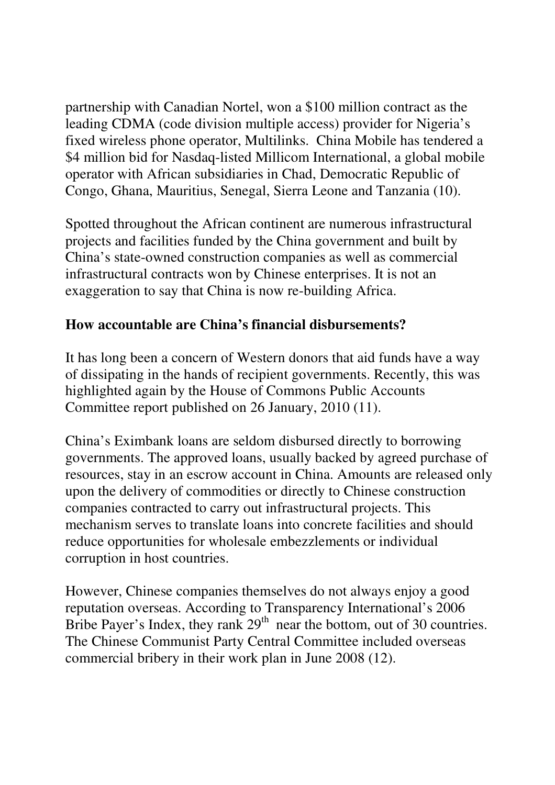partnership with Canadian Nortel, won a \$100 million contract as the leading CDMA (code division multiple access) provider for Nigeria's fixed wireless phone operator, Multilinks. China Mobile has tendered a \$4 million bid for Nasdaq-listed Millicom International, a global mobile operator with African subsidiaries in Chad, Democratic Republic of Congo, Ghana, Mauritius, Senegal, Sierra Leone and Tanzania (10).

Spotted throughout the African continent are numerous infrastructural projects and facilities funded by the China government and built by China's state-owned construction companies as well as commercial infrastructural contracts won by Chinese enterprises. It is not an exaggeration to say that China is now re-building Africa.

# **How accountable are China's financial disbursements?**

It has long been a concern of Western donors that aid funds have a way of dissipating in the hands of recipient governments. Recently, this was highlighted again by the House of Commons Public Accounts Committee report published on 26 January, 2010 (11).

China's Eximbank loans are seldom disbursed directly to borrowing governments. The approved loans, usually backed by agreed purchase of resources, stay in an escrow account in China. Amounts are released only upon the delivery of commodities or directly to Chinese construction companies contracted to carry out infrastructural projects. This mechanism serves to translate loans into concrete facilities and should reduce opportunities for wholesale embezzlements or individual corruption in host countries.

However, Chinese companies themselves do not always enjoy a good reputation overseas. According to Transparency International's 2006 Bribe Payer's Index, they rank  $29<sup>th</sup>$  near the bottom, out of 30 countries. The Chinese Communist Party Central Committee included overseas commercial bribery in their work plan in June 2008 (12).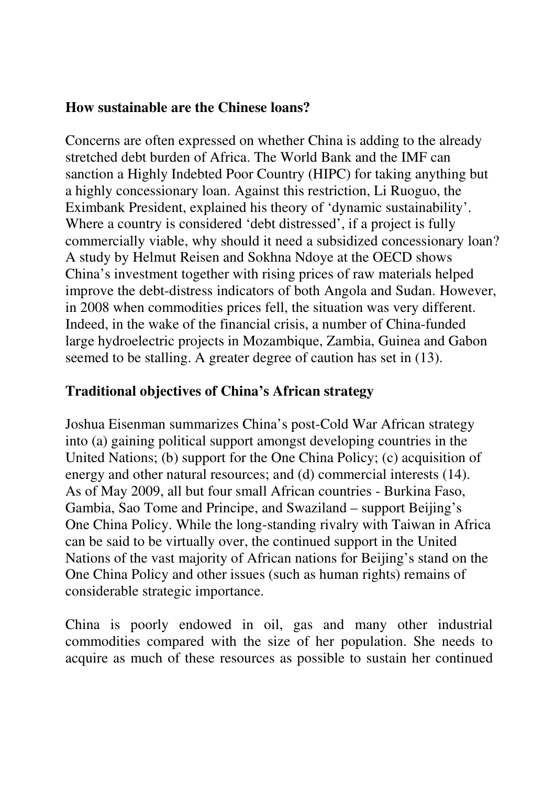#### **How sustainable are the Chinese loans?**

Concerns are often expressed on whether China is adding to the already stretched debt burden of Africa. The World Bank and the IMF can sanction a Highly Indebted Poor Country (HIPC) for taking anything but a highly concessionary loan. Against this restriction, Li Ruoguo, the Eximbank President, explained his theory of 'dynamic sustainability'. Where a country is considered 'debt distressed', if a project is fully commercially viable, why should it need a subsidized concessionary loan? A study by Helmut Reisen and Sokhna Ndoye at the OECD shows China's investment together with rising prices of raw materials helped improve the debt-distress indicators of both Angola and Sudan. However, in 2008 when commodities prices fell, the situation was very different. Indeed, in the wake of the financial crisis, a number of China-funded large hydroelectric projects in Mozambique, Zambia, Guinea and Gabon seemed to be stalling. A greater degree of caution has set in (13).

# **Traditional objectives of China's African strategy**

Joshua Eisenman summarizes China's post-Cold War African strategy into (a) gaining political support amongst developing countries in the United Nations; (b) support for the One China Policy; (c) acquisition of energy and other natural resources; and (d) commercial interests (14). As of May 2009, all but four small African countries - Burkina Faso, Gambia, Sao Tome and Principe, and Swaziland – support Beijing's One China Policy. While the long-standing rivalry with Taiwan in Africa can be said to be virtually over, the continued support in the United Nations of the vast majority of African nations for Beijing's stand on the One China Policy and other issues (such as human rights) remains of considerable strategic importance.

China is poorly endowed in oil, gas and many other industrial commodities compared with the size of her population. She needs to acquire as much of these resources as possible to sustain her continued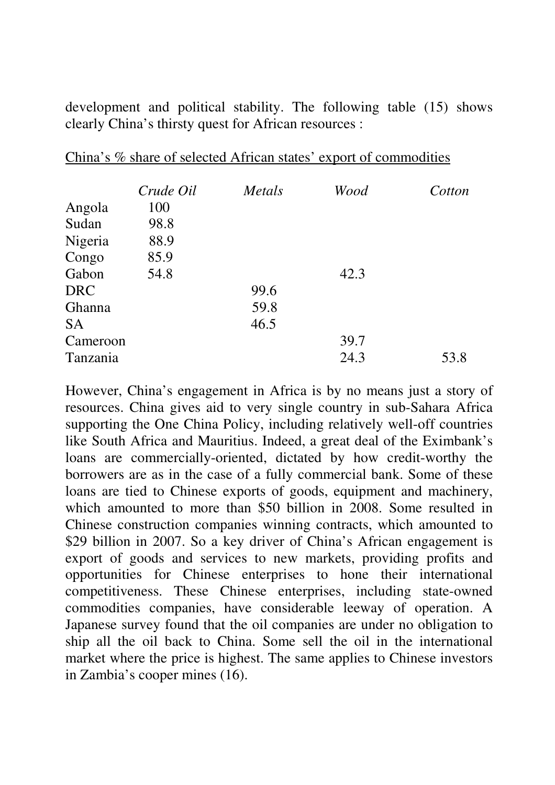development and political stability. The following table (15) shows clearly China's thirsty quest for African resources :

|            | Crude Oil | Metals | Wood | Cotton |
|------------|-----------|--------|------|--------|
| Angola     | 100       |        |      |        |
| Sudan      | 98.8      |        |      |        |
| Nigeria    | 88.9      |        |      |        |
| Congo      | 85.9      |        |      |        |
| Gabon      | 54.8      |        | 42.3 |        |
| <b>DRC</b> |           | 99.6   |      |        |
| Ghanna     |           | 59.8   |      |        |
| <b>SA</b>  |           | 46.5   |      |        |
| Cameroon   |           |        | 39.7 |        |
| Tanzania   |           |        | 24.3 | 53.8   |

China's % share of selected African states' export of commodities

However, China's engagement in Africa is by no means just a story of resources. China gives aid to very single country in sub-Sahara Africa supporting the One China Policy, including relatively well-off countries like South Africa and Mauritius. Indeed, a great deal of the Eximbank's loans are commercially-oriented, dictated by how credit-worthy the borrowers are as in the case of a fully commercial bank. Some of these loans are tied to Chinese exports of goods, equipment and machinery, which amounted to more than \$50 billion in 2008. Some resulted in Chinese construction companies winning contracts, which amounted to \$29 billion in 2007. So a key driver of China's African engagement is export of goods and services to new markets, providing profits and opportunities for Chinese enterprises to hone their international competitiveness. These Chinese enterprises, including state-owned commodities companies, have considerable leeway of operation. A Japanese survey found that the oil companies are under no obligation to ship all the oil back to China. Some sell the oil in the international market where the price is highest. The same applies to Chinese investors in Zambia's cooper mines (16).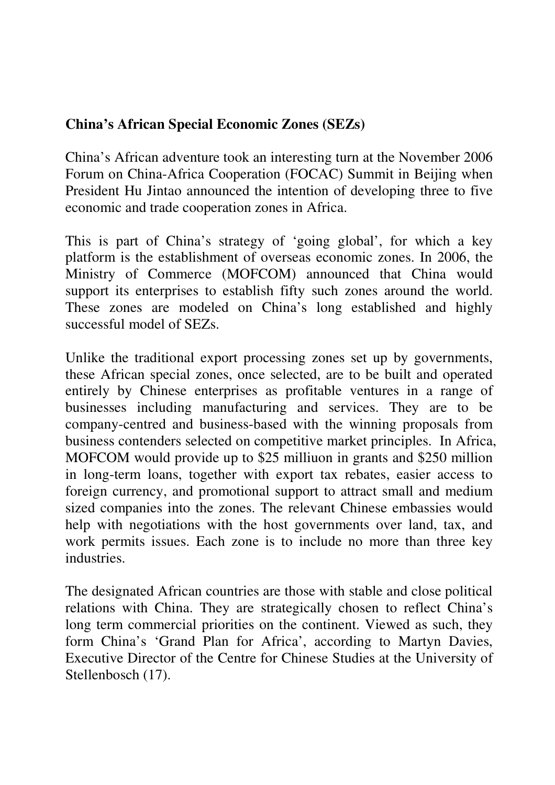# **China's African Special Economic Zones (SEZs)**

China's African adventure took an interesting turn at the November 2006 Forum on China-Africa Cooperation (FOCAC) Summit in Beijing when President Hu Jintao announced the intention of developing three to five economic and trade cooperation zones in Africa.

This is part of China's strategy of 'going global', for which a key platform is the establishment of overseas economic zones. In 2006, the Ministry of Commerce (MOFCOM) announced that China would support its enterprises to establish fifty such zones around the world. These zones are modeled on China's long established and highly successful model of SEZs.

Unlike the traditional export processing zones set up by governments, these African special zones, once selected, are to be built and operated entirely by Chinese enterprises as profitable ventures in a range of businesses including manufacturing and services. They are to be company-centred and business-based with the winning proposals from business contenders selected on competitive market principles. In Africa, MOFCOM would provide up to \$25 milliuon in grants and \$250 million in long-term loans, together with export tax rebates, easier access to foreign currency, and promotional support to attract small and medium sized companies into the zones. The relevant Chinese embassies would help with negotiations with the host governments over land, tax, and work permits issues. Each zone is to include no more than three key industries.

The designated African countries are those with stable and close political relations with China. They are strategically chosen to reflect China's long term commercial priorities on the continent. Viewed as such, they form China's 'Grand Plan for Africa', according to Martyn Davies, Executive Director of the Centre for Chinese Studies at the University of Stellenbosch (17).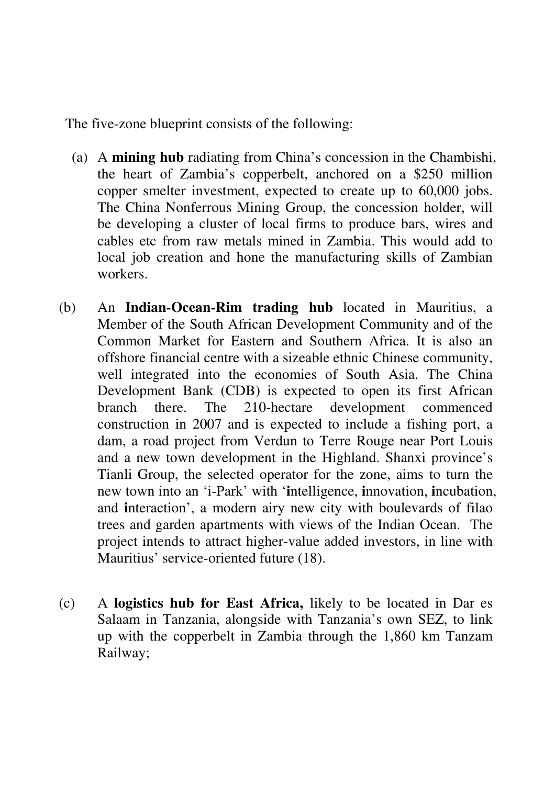The five-zone blueprint consists of the following:

- (a) A **mining hub** radiating from China's concession in the Chambishi, the heart of Zambia's copperbelt, anchored on a \$250 million copper smelter investment, expected to create up to 60,000 jobs. The China Nonferrous Mining Group, the concession holder, will be developing a cluster of local firms to produce bars, wires and cables etc from raw metals mined in Zambia. This would add to local job creation and hone the manufacturing skills of Zambian workers.
- (b) An **Indian-Ocean-Rim trading hub** located in Mauritius, a Member of the South African Development Community and of the Common Market for Eastern and Southern Africa. It is also an offshore financial centre with a sizeable ethnic Chinese community, well integrated into the economies of South Asia. The China Development Bank (CDB) is expected to open its first African branch there. The 210-hectare development commenced construction in 2007 and is expected to include a fishing port, a dam, a road project from Verdun to Terre Rouge near Port Louis and a new town development in the Highland. Shanxi province's Tianli Group, the selected operator for the zone, aims to turn the new town into an 'i-Park' with '**i**ntelligence, **i**nnovation, **i**ncubation, and **i**nteraction', a modern airy new city with boulevards of filao trees and garden apartments with views of the Indian Ocean. The project intends to attract higher-value added investors, in line with Mauritius' service-oriented future (18).
- (c) A **logistics hub for East Africa,** likely to be located in Dar es Salaam in Tanzania, alongside with Tanzania's own SEZ, to link up with the copperbelt in Zambia through the 1,860 km Tanzam Railway;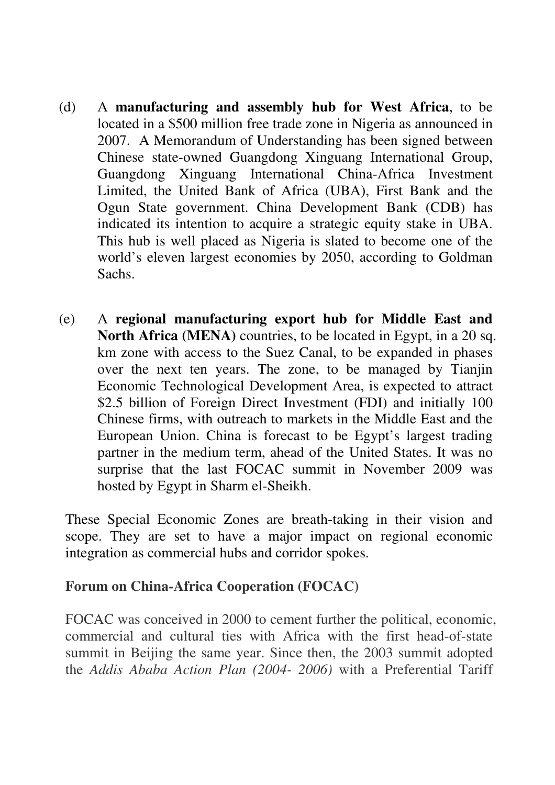- (d) A **manufacturing and assembly hub for West Africa**, to be located in a \$500 million free trade zone in Nigeria as announced in 2007. A Memorandum of Understanding has been signed between Chinese state-owned Guangdong Xinguang International Group, Guangdong Xinguang International China-Africa Investment Limited, the United Bank of Africa (UBA), First Bank and the Ogun State government. China Development Bank (CDB) has indicated its intention to acquire a strategic equity stake in UBA. This hub is well placed as Nigeria is slated to become one of the world's eleven largest economies by 2050, according to Goldman Sachs.
- (e) A **regional manufacturing export hub for Middle East and North Africa (MENA)** countries, to be located in Egypt, in a 20 sq. km zone with access to the Suez Canal, to be expanded in phases over the next ten years. The zone, to be managed by Tianjin Economic Technological Development Area, is expected to attract \$2.5 billion of Foreign Direct Investment (FDI) and initially 100 Chinese firms, with outreach to markets in the Middle East and the European Union. China is forecast to be Egypt's largest trading partner in the medium term, ahead of the United States. It was no surprise that the last FOCAC summit in November 2009 was hosted by Egypt in Sharm el-Sheikh.

These Special Economic Zones are breath-taking in their vision and scope. They are set to have a major impact on regional economic integration as commercial hubs and corridor spokes.

#### **Forum on China-Africa Cooperation (FOCAC)**

FOCAC was conceived in 2000 to cement further the political, economic, commercial and cultural ties with Africa with the first head-of-state summit in Beijing the same year. Since then, the 2003 summit adopted the *Addis Ababa Action Plan (2004- 2006)* with a Preferential Tariff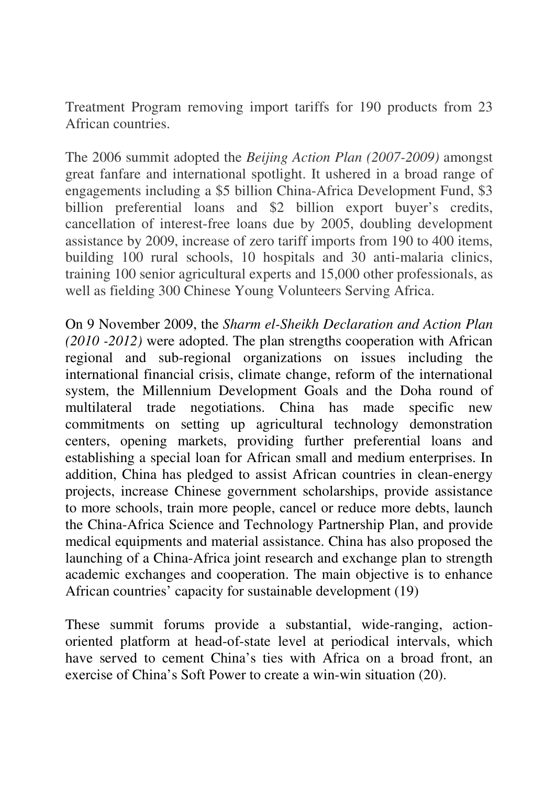Treatment Program removing import tariffs for 190 products from 23 African countries.

The 2006 summit adopted the *Beijing Action Plan (2007-2009)* amongst great fanfare and international spotlight. It ushered in a broad range of engagements including a \$5 billion China-Africa Development Fund, \$3 billion preferential loans and \$2 billion export buyer's credits, cancellation of interest-free loans due by 2005, doubling development assistance by 2009, increase of zero tariff imports from 190 to 400 items, building 100 rural schools, 10 hospitals and 30 anti-malaria clinics, training 100 senior agricultural experts and 15,000 other professionals, as well as fielding 300 Chinese Young Volunteers Serving Africa.

On 9 November 2009, the *Sharm el-Sheikh Declaration and Action Plan (2010 -2012)* were adopted. The plan strengths cooperation with African regional and sub-regional organizations on issues including the international financial crisis, climate change, reform of the international system, the Millennium Development Goals and the Doha round of multilateral trade negotiations. China has made specific new commitments on setting up agricultural technology demonstration centers, opening markets, providing further preferential loans and establishing a special loan for African small and medium enterprises. In addition, China has pledged to assist African countries in clean-energy projects, increase Chinese government scholarships, provide assistance to more schools, train more people, cancel or reduce more debts, launch the China-Africa Science and Technology Partnership Plan, and provide medical equipments and material assistance. China has also proposed the launching of a China-Africa joint research and exchange plan to strength academic exchanges and cooperation. The main objective is to enhance African countries' capacity for sustainable development (19)

These summit forums provide a substantial, wide-ranging, actionoriented platform at head-of-state level at periodical intervals, which have served to cement China's ties with Africa on a broad front, an exercise of China's Soft Power to create a win-win situation (20).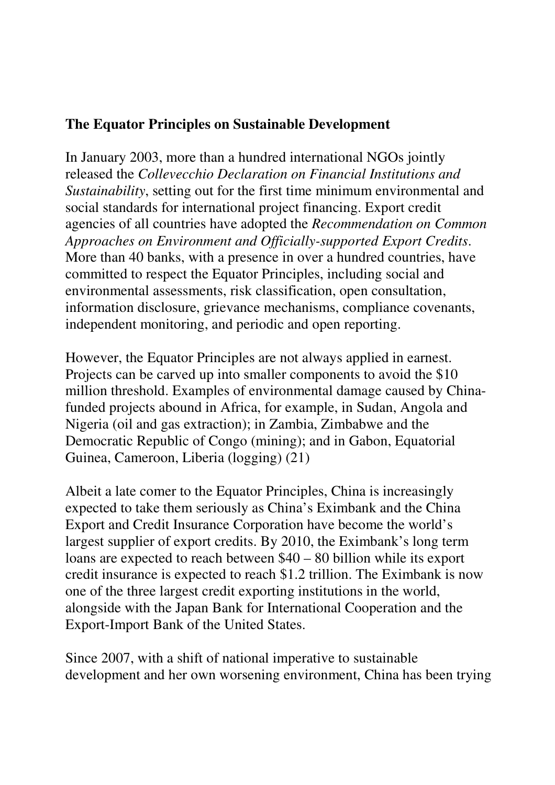#### **The Equator Principles on Sustainable Development**

In January 2003, more than a hundred international NGOs jointly released the *Collevecchio Declaration on Financial Institutions and Sustainability*, setting out for the first time minimum environmental and social standards for international project financing. Export credit agencies of all countries have adopted the *Recommendation on Common Approaches on Environment and Officially-supported Export Credits*. More than 40 banks, with a presence in over a hundred countries, have committed to respect the Equator Principles, including social and environmental assessments, risk classification, open consultation, information disclosure, grievance mechanisms, compliance covenants, independent monitoring, and periodic and open reporting.

However, the Equator Principles are not always applied in earnest. Projects can be carved up into smaller components to avoid the \$10 million threshold. Examples of environmental damage caused by Chinafunded projects abound in Africa, for example, in Sudan, Angola and Nigeria (oil and gas extraction); in Zambia, Zimbabwe and the Democratic Republic of Congo (mining); and in Gabon, Equatorial Guinea, Cameroon, Liberia (logging) (21)

Albeit a late comer to the Equator Principles, China is increasingly expected to take them seriously as China's Eximbank and the China Export and Credit Insurance Corporation have become the world's largest supplier of export credits. By 2010, the Eximbank's long term loans are expected to reach between \$40 – 80 billion while its export credit insurance is expected to reach \$1.2 trillion. The Eximbank is now one of the three largest credit exporting institutions in the world, alongside with the Japan Bank for International Cooperation and the Export-Import Bank of the United States.

Since 2007, with a shift of national imperative to sustainable development and her own worsening environment, China has been trying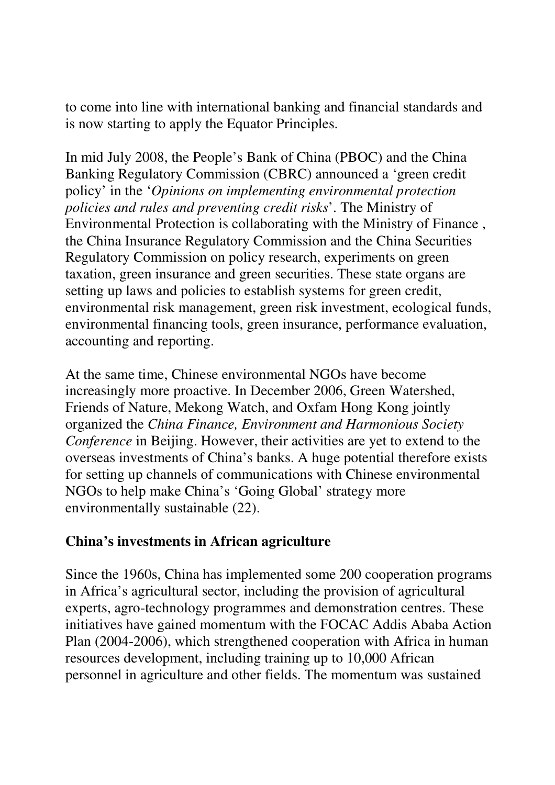to come into line with international banking and financial standards and is now starting to apply the Equator Principles.

In mid July 2008, the People's Bank of China (PBOC) and the China Banking Regulatory Commission (CBRC) announced a 'green credit policy' in the '*Opinions on implementing environmental protection policies and rules and preventing credit risks*'. The Ministry of Environmental Protection is collaborating with the Ministry of Finance , the China Insurance Regulatory Commission and the China Securities Regulatory Commission on policy research, experiments on green taxation, green insurance and green securities. These state organs are setting up laws and policies to establish systems for green credit, environmental risk management, green risk investment, ecological funds, environmental financing tools, green insurance, performance evaluation, accounting and reporting.

At the same time, Chinese environmental NGOs have become increasingly more proactive. In December 2006, Green Watershed, Friends of Nature, Mekong Watch, and Oxfam Hong Kong jointly organized the *China Finance, Environment and Harmonious Society Conference* in Beijing. However, their activities are yet to extend to the overseas investments of China's banks. A huge potential therefore exists for setting up channels of communications with Chinese environmental NGOs to help make China's 'Going Global' strategy more environmentally sustainable (22).

# **China's investments in African agriculture**

Since the 1960s, China has implemented some 200 cooperation programs in Africa's agricultural sector, including the provision of agricultural experts, agro-technology programmes and demonstration centres. These initiatives have gained momentum with the FOCAC Addis Ababa Action Plan (2004-2006), which strengthened cooperation with Africa in human resources development, including training up to 10,000 African personnel in agriculture and other fields. The momentum was sustained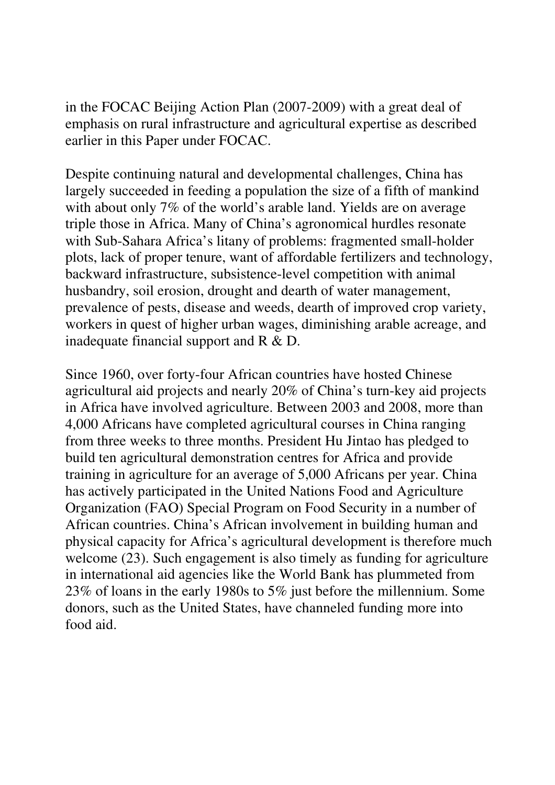in the FOCAC Beijing Action Plan (2007-2009) with a great deal of emphasis on rural infrastructure and agricultural expertise as described earlier in this Paper under FOCAC.

Despite continuing natural and developmental challenges, China has largely succeeded in feeding a population the size of a fifth of mankind with about only 7% of the world's arable land. Yields are on average triple those in Africa. Many of China's agronomical hurdles resonate with Sub-Sahara Africa's litany of problems: fragmented small-holder plots, lack of proper tenure, want of affordable fertilizers and technology, backward infrastructure, subsistence-level competition with animal husbandry, soil erosion, drought and dearth of water management, prevalence of pests, disease and weeds, dearth of improved crop variety, workers in quest of higher urban wages, diminishing arable acreage, and inadequate financial support and R & D.

Since 1960, over forty-four African countries have hosted Chinese agricultural aid projects and nearly 20% of China's turn-key aid projects in Africa have involved agriculture. Between 2003 and 2008, more than 4,000 Africans have completed agricultural courses in China ranging from three weeks to three months. President Hu Jintao has pledged to build ten agricultural demonstration centres for Africa and provide training in agriculture for an average of 5,000 Africans per year. China has actively participated in the United Nations Food and Agriculture Organization (FAO) Special Program on Food Security in a number of African countries. China's African involvement in building human and physical capacity for Africa's agricultural development is therefore much welcome (23). Such engagement is also timely as funding for agriculture in international aid agencies like the World Bank has plummeted from 23% of loans in the early 1980s to 5% just before the millennium. Some donors, such as the United States, have channeled funding more into food aid.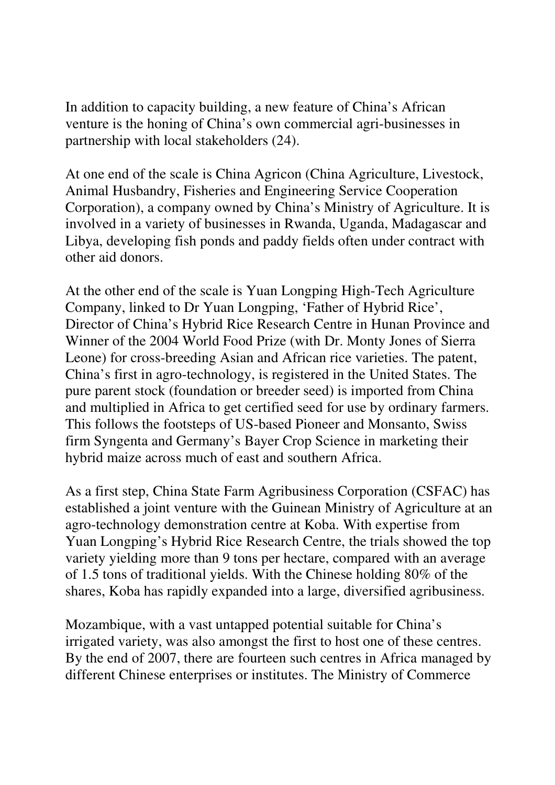In addition to capacity building, a new feature of China's African venture is the honing of China's own commercial agri-businesses in partnership with local stakeholders (24).

At one end of the scale is China Agricon (China Agriculture, Livestock, Animal Husbandry, Fisheries and Engineering Service Cooperation Corporation), a company owned by China's Ministry of Agriculture. It is involved in a variety of businesses in Rwanda, Uganda, Madagascar and Libya, developing fish ponds and paddy fields often under contract with other aid donors.

At the other end of the scale is Yuan Longping High-Tech Agriculture Company, linked to Dr Yuan Longping, 'Father of Hybrid Rice', Director of China's Hybrid Rice Research Centre in Hunan Province and Winner of the 2004 World Food Prize (with Dr. Monty Jones of Sierra Leone) for cross-breeding Asian and African rice varieties. The patent, China's first in agro-technology, is registered in the United States. The pure parent stock (foundation or breeder seed) is imported from China and multiplied in Africa to get certified seed for use by ordinary farmers. This follows the footsteps of US-based Pioneer and Monsanto, Swiss firm Syngenta and Germany's Bayer Crop Science in marketing their hybrid maize across much of east and southern Africa.

As a first step, China State Farm Agribusiness Corporation (CSFAC) has established a joint venture with the Guinean Ministry of Agriculture at an agro-technology demonstration centre at Koba. With expertise from Yuan Longping's Hybrid Rice Research Centre, the trials showed the top variety yielding more than 9 tons per hectare, compared with an average of 1.5 tons of traditional yields. With the Chinese holding 80% of the shares, Koba has rapidly expanded into a large, diversified agribusiness.

Mozambique, with a vast untapped potential suitable for China's irrigated variety, was also amongst the first to host one of these centres. By the end of 2007, there are fourteen such centres in Africa managed by different Chinese enterprises or institutes. The Ministry of Commerce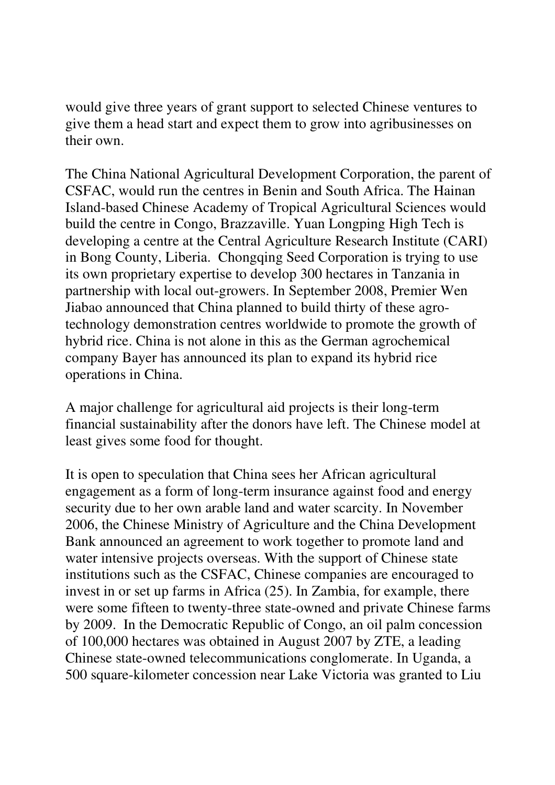would give three years of grant support to selected Chinese ventures to give them a head start and expect them to grow into agribusinesses on their own.

The China National Agricultural Development Corporation, the parent of CSFAC, would run the centres in Benin and South Africa. The Hainan Island-based Chinese Academy of Tropical Agricultural Sciences would build the centre in Congo, Brazzaville. Yuan Longping High Tech is developing a centre at the Central Agriculture Research Institute (CARI) in Bong County, Liberia. Chongqing Seed Corporation is trying to use its own proprietary expertise to develop 300 hectares in Tanzania in partnership with local out-growers. In September 2008, Premier Wen Jiabao announced that China planned to build thirty of these agrotechnology demonstration centres worldwide to promote the growth of hybrid rice. China is not alone in this as the German agrochemical company Bayer has announced its plan to expand its hybrid rice operations in China.

A major challenge for agricultural aid projects is their long-term financial sustainability after the donors have left. The Chinese model at least gives some food for thought.

It is open to speculation that China sees her African agricultural engagement as a form of long-term insurance against food and energy security due to her own arable land and water scarcity. In November 2006, the Chinese Ministry of Agriculture and the China Development Bank announced an agreement to work together to promote land and water intensive projects overseas. With the support of Chinese state institutions such as the CSFAC, Chinese companies are encouraged to invest in or set up farms in Africa (25). In Zambia, for example, there were some fifteen to twenty-three state-owned and private Chinese farms by 2009. In the Democratic Republic of Congo, an oil palm concession of 100,000 hectares was obtained in August 2007 by ZTE, a leading Chinese state-owned telecommunications conglomerate. In Uganda, a 500 square-kilometer concession near Lake Victoria was granted to Liu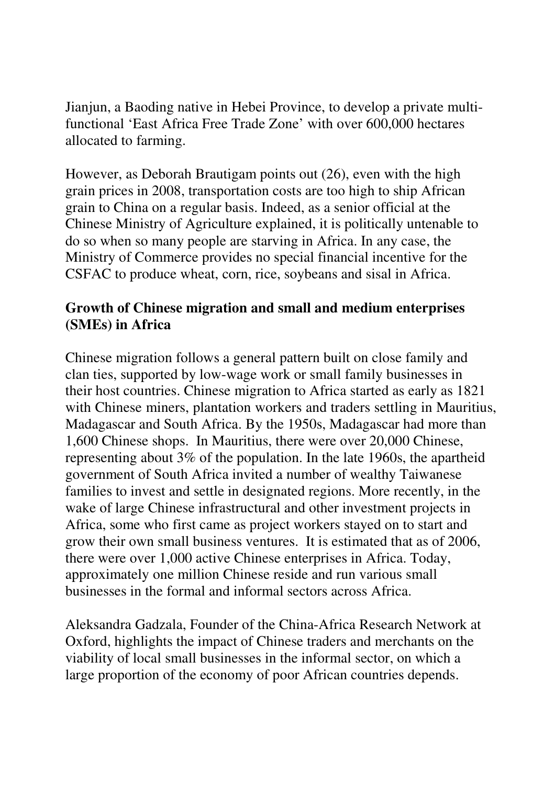Jianjun, a Baoding native in Hebei Province, to develop a private multifunctional 'East Africa Free Trade Zone' with over 600,000 hectares allocated to farming.

However, as Deborah Brautigam points out (26), even with the high grain prices in 2008, transportation costs are too high to ship African grain to China on a regular basis. Indeed, as a senior official at the Chinese Ministry of Agriculture explained, it is politically untenable to do so when so many people are starving in Africa. In any case, the Ministry of Commerce provides no special financial incentive for the CSFAC to produce wheat, corn, rice, soybeans and sisal in Africa.

# **Growth of Chinese migration and small and medium enterprises (SMEs) in Africa**

Chinese migration follows a general pattern built on close family and clan ties, supported by low-wage work or small family businesses in their host countries. Chinese migration to Africa started as early as 1821 with Chinese miners, plantation workers and traders settling in Mauritius, Madagascar and South Africa. By the 1950s, Madagascar had more than 1,600 Chinese shops. In Mauritius, there were over 20,000 Chinese, representing about 3% of the population. In the late 1960s, the apartheid government of South Africa invited a number of wealthy Taiwanese families to invest and settle in designated regions. More recently, in the wake of large Chinese infrastructural and other investment projects in Africa, some who first came as project workers stayed on to start and grow their own small business ventures. It is estimated that as of 2006, there were over 1,000 active Chinese enterprises in Africa. Today, approximately one million Chinese reside and run various small businesses in the formal and informal sectors across Africa.

Aleksandra Gadzala, Founder of the China-Africa Research Network at Oxford, highlights the impact of Chinese traders and merchants on the viability of local small businesses in the informal sector, on which a large proportion of the economy of poor African countries depends.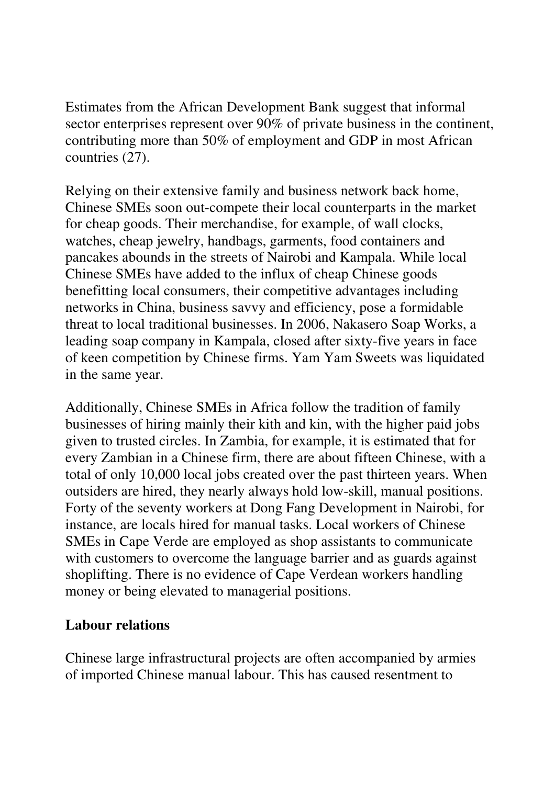Estimates from the African Development Bank suggest that informal sector enterprises represent over 90% of private business in the continent, contributing more than 50% of employment and GDP in most African countries (27).

Relying on their extensive family and business network back home, Chinese SMEs soon out-compete their local counterparts in the market for cheap goods. Their merchandise, for example, of wall clocks, watches, cheap jewelry, handbags, garments, food containers and pancakes abounds in the streets of Nairobi and Kampala. While local Chinese SMEs have added to the influx of cheap Chinese goods benefitting local consumers, their competitive advantages including networks in China, business savvy and efficiency, pose a formidable threat to local traditional businesses. In 2006, Nakasero Soap Works, a leading soap company in Kampala, closed after sixty-five years in face of keen competition by Chinese firms. Yam Yam Sweets was liquidated in the same year.

Additionally, Chinese SMEs in Africa follow the tradition of family businesses of hiring mainly their kith and kin, with the higher paid jobs given to trusted circles. In Zambia, for example, it is estimated that for every Zambian in a Chinese firm, there are about fifteen Chinese, with a total of only 10,000 local jobs created over the past thirteen years. When outsiders are hired, they nearly always hold low-skill, manual positions. Forty of the seventy workers at Dong Fang Development in Nairobi, for instance, are locals hired for manual tasks. Local workers of Chinese SMEs in Cape Verde are employed as shop assistants to communicate with customers to overcome the language barrier and as guards against shoplifting. There is no evidence of Cape Verdean workers handling money or being elevated to managerial positions.

# **Labour relations**

Chinese large infrastructural projects are often accompanied by armies of imported Chinese manual labour. This has caused resentment to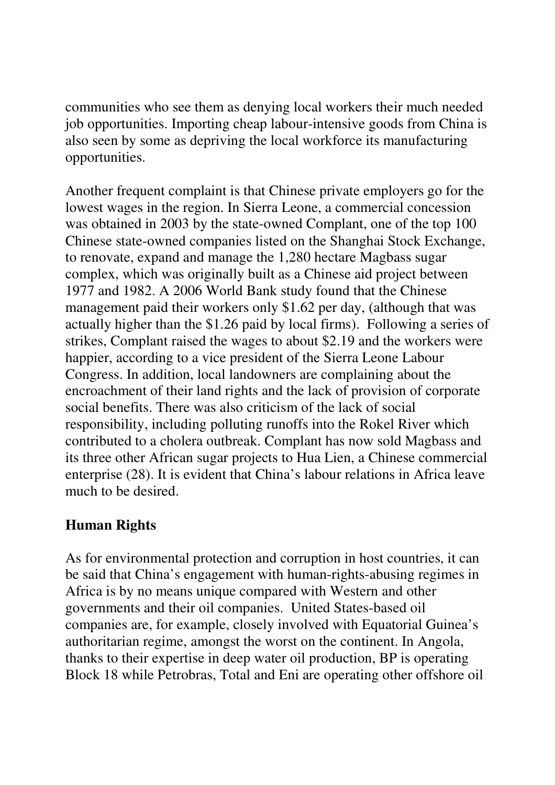communities who see them as denying local workers their much needed job opportunities. Importing cheap labour-intensive goods from China is also seen by some as depriving the local workforce its manufacturing opportunities.

Another frequent complaint is that Chinese private employers go for the lowest wages in the region. In Sierra Leone, a commercial concession was obtained in 2003 by the state-owned Complant, one of the top 100 Chinese state-owned companies listed on the Shanghai Stock Exchange, to renovate, expand and manage the 1,280 hectare Magbass sugar complex, which was originally built as a Chinese aid project between 1977 and 1982. A 2006 World Bank study found that the Chinese management paid their workers only \$1.62 per day, (although that was actually higher than the \$1.26 paid by local firms). Following a series of strikes, Complant raised the wages to about \$2.19 and the workers were happier, according to a vice president of the Sierra Leone Labour Congress. In addition, local landowners are complaining about the encroachment of their land rights and the lack of provision of corporate social benefits. There was also criticism of the lack of social responsibility, including polluting runoffs into the Rokel River which contributed to a cholera outbreak. Complant has now sold Magbass and its three other African sugar projects to Hua Lien, a Chinese commercial enterprise (28). It is evident that China's labour relations in Africa leave much to be desired.

#### **Human Rights**

As for environmental protection and corruption in host countries, it can be said that China's engagement with human-rights-abusing regimes in Africa is by no means unique compared with Western and other governments and their oil companies. United States-based oil companies are, for example, closely involved with Equatorial Guinea's authoritarian regime, amongst the worst on the continent. In Angola, thanks to their expertise in deep water oil production, BP is operating Block 18 while Petrobras, Total and Eni are operating other offshore oil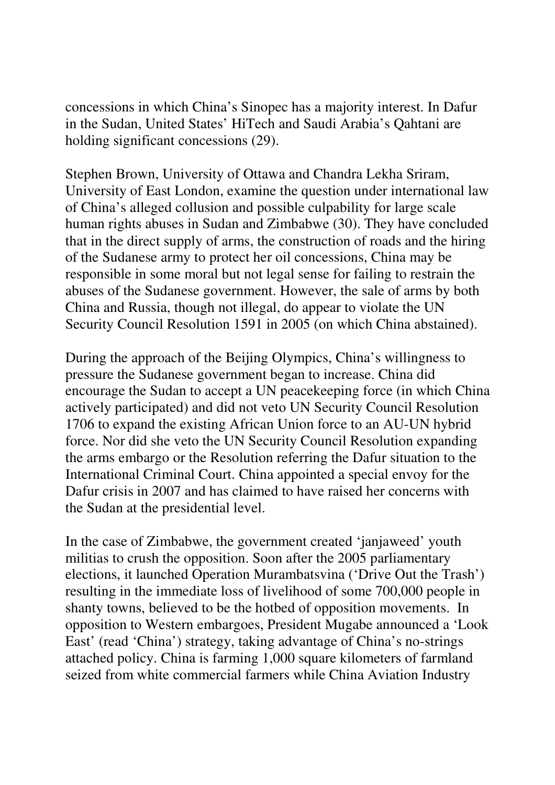concessions in which China's Sinopec has a majority interest. In Dafur in the Sudan, United States' HiTech and Saudi Arabia's Qahtani are holding significant concessions (29).

Stephen Brown, University of Ottawa and Chandra Lekha Sriram, University of East London, examine the question under international law of China's alleged collusion and possible culpability for large scale human rights abuses in Sudan and Zimbabwe (30). They have concluded that in the direct supply of arms, the construction of roads and the hiring of the Sudanese army to protect her oil concessions, China may be responsible in some moral but not legal sense for failing to restrain the abuses of the Sudanese government. However, the sale of arms by both China and Russia, though not illegal, do appear to violate the UN Security Council Resolution 1591 in 2005 (on which China abstained).

During the approach of the Beijing Olympics, China's willingness to pressure the Sudanese government began to increase. China did encourage the Sudan to accept a UN peacekeeping force (in which China actively participated) and did not veto UN Security Council Resolution 1706 to expand the existing African Union force to an AU-UN hybrid force. Nor did she veto the UN Security Council Resolution expanding the arms embargo or the Resolution referring the Dafur situation to the International Criminal Court. China appointed a special envoy for the Dafur crisis in 2007 and has claimed to have raised her concerns with the Sudan at the presidential level.

In the case of Zimbabwe, the government created 'janjaweed' youth militias to crush the opposition. Soon after the 2005 parliamentary elections, it launched Operation Murambatsvina ('Drive Out the Trash') resulting in the immediate loss of livelihood of some 700,000 people in shanty towns, believed to be the hotbed of opposition movements. In opposition to Western embargoes, President Mugabe announced a 'Look East' (read 'China') strategy, taking advantage of China's no-strings attached policy. China is farming 1,000 square kilometers of farmland seized from white commercial farmers while China Aviation Industry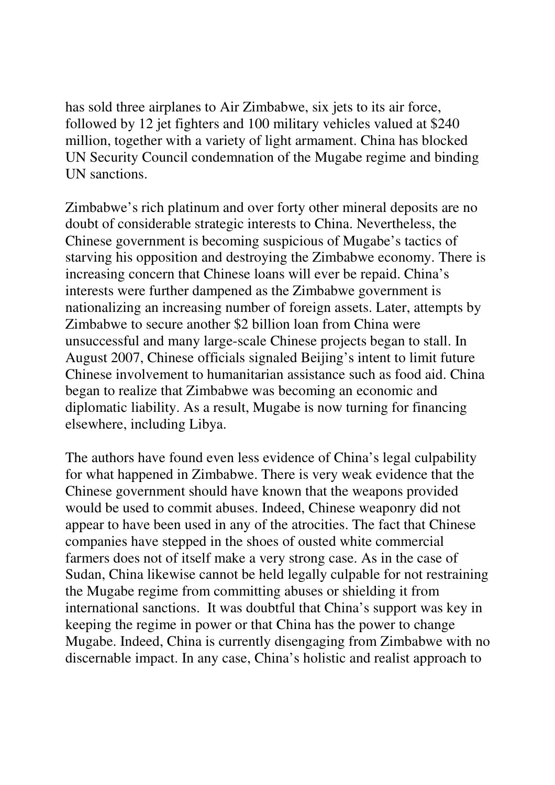has sold three airplanes to Air Zimbabwe, six jets to its air force, followed by 12 jet fighters and 100 military vehicles valued at \$240 million, together with a variety of light armament. China has blocked UN Security Council condemnation of the Mugabe regime and binding UN sanctions.

Zimbabwe's rich platinum and over forty other mineral deposits are no doubt of considerable strategic interests to China. Nevertheless, the Chinese government is becoming suspicious of Mugabe's tactics of starving his opposition and destroying the Zimbabwe economy. There is increasing concern that Chinese loans will ever be repaid. China's interests were further dampened as the Zimbabwe government is nationalizing an increasing number of foreign assets. Later, attempts by Zimbabwe to secure another \$2 billion loan from China were unsuccessful and many large-scale Chinese projects began to stall. In August 2007, Chinese officials signaled Beijing's intent to limit future Chinese involvement to humanitarian assistance such as food aid. China began to realize that Zimbabwe was becoming an economic and diplomatic liability. As a result, Mugabe is now turning for financing elsewhere, including Libya.

The authors have found even less evidence of China's legal culpability for what happened in Zimbabwe. There is very weak evidence that the Chinese government should have known that the weapons provided would be used to commit abuses. Indeed, Chinese weaponry did not appear to have been used in any of the atrocities. The fact that Chinese companies have stepped in the shoes of ousted white commercial farmers does not of itself make a very strong case. As in the case of Sudan, China likewise cannot be held legally culpable for not restraining the Mugabe regime from committing abuses or shielding it from international sanctions. It was doubtful that China's support was key in keeping the regime in power or that China has the power to change Mugabe. Indeed, China is currently disengaging from Zimbabwe with no discernable impact. In any case, China's holistic and realist approach to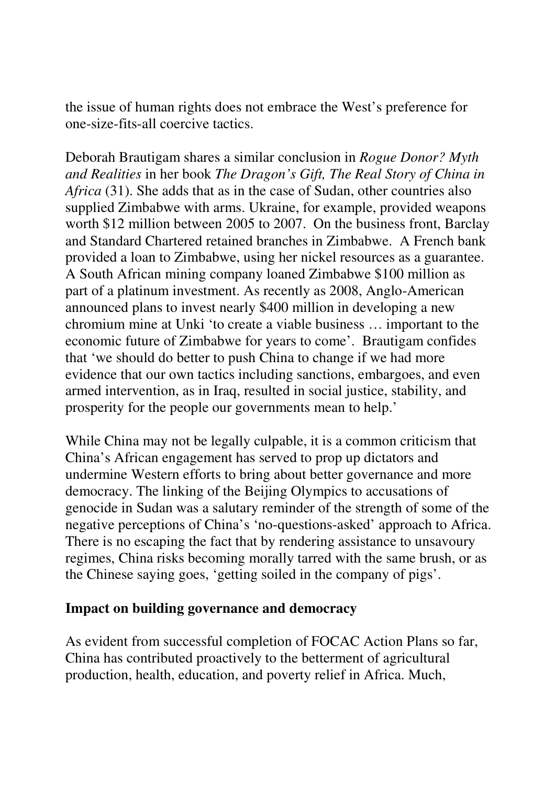the issue of human rights does not embrace the West's preference for one-size-fits-all coercive tactics.

Deborah Brautigam shares a similar conclusion in *Rogue Donor? Myth and Realities* in her book *The Dragon's Gift, The Real Story of China in Africa* (31). She adds that as in the case of Sudan, other countries also supplied Zimbabwe with arms. Ukraine, for example, provided weapons worth \$12 million between 2005 to 2007. On the business front, Barclay and Standard Chartered retained branches in Zimbabwe. A French bank provided a loan to Zimbabwe, using her nickel resources as a guarantee. A South African mining company loaned Zimbabwe \$100 million as part of a platinum investment. As recently as 2008, Anglo-American announced plans to invest nearly \$400 million in developing a new chromium mine at Unki 'to create a viable business … important to the economic future of Zimbabwe for years to come'. Brautigam confides that 'we should do better to push China to change if we had more evidence that our own tactics including sanctions, embargoes, and even armed intervention, as in Iraq, resulted in social justice, stability, and prosperity for the people our governments mean to help.'

While China may not be legally culpable, it is a common criticism that China's African engagement has served to prop up dictators and undermine Western efforts to bring about better governance and more democracy. The linking of the Beijing Olympics to accusations of genocide in Sudan was a salutary reminder of the strength of some of the negative perceptions of China's 'no-questions-asked' approach to Africa. There is no escaping the fact that by rendering assistance to unsavoury regimes, China risks becoming morally tarred with the same brush, or as the Chinese saying goes, 'getting soiled in the company of pigs'.

#### **Impact on building governance and democracy**

As evident from successful completion of FOCAC Action Plans so far, China has contributed proactively to the betterment of agricultural production, health, education, and poverty relief in Africa. Much,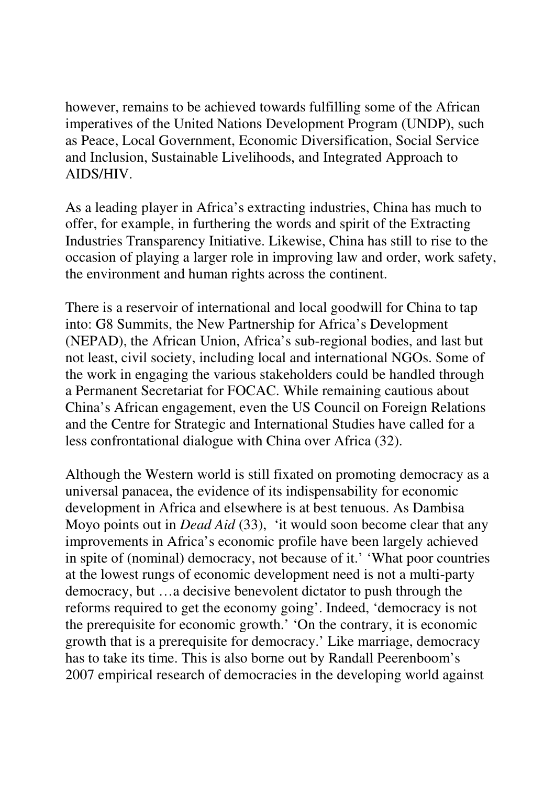however, remains to be achieved towards fulfilling some of the African imperatives of the United Nations Development Program (UNDP), such as Peace, Local Government, Economic Diversification, Social Service and Inclusion, Sustainable Livelihoods, and Integrated Approach to AIDS/HIV.

As a leading player in Africa's extracting industries, China has much to offer, for example, in furthering the words and spirit of the Extracting Industries Transparency Initiative. Likewise, China has still to rise to the occasion of playing a larger role in improving law and order, work safety, the environment and human rights across the continent.

There is a reservoir of international and local goodwill for China to tap into: G8 Summits, the New Partnership for Africa's Development (NEPAD), the African Union, Africa's sub-regional bodies, and last but not least, civil society, including local and international NGOs. Some of the work in engaging the various stakeholders could be handled through a Permanent Secretariat for FOCAC. While remaining cautious about China's African engagement, even the US Council on Foreign Relations and the Centre for Strategic and International Studies have called for a less confrontational dialogue with China over Africa (32).

Although the Western world is still fixated on promoting democracy as a universal panacea, the evidence of its indispensability for economic development in Africa and elsewhere is at best tenuous. As Dambisa Moyo points out in *Dead Aid* (33), 'it would soon become clear that any improvements in Africa's economic profile have been largely achieved in spite of (nominal) democracy, not because of it.' 'What poor countries at the lowest rungs of economic development need is not a multi-party democracy, but …a decisive benevolent dictator to push through the reforms required to get the economy going'. Indeed, 'democracy is not the prerequisite for economic growth.' 'On the contrary, it is economic growth that is a prerequisite for democracy.' Like marriage, democracy has to take its time. This is also borne out by Randall Peerenboom's 2007 empirical research of democracies in the developing world against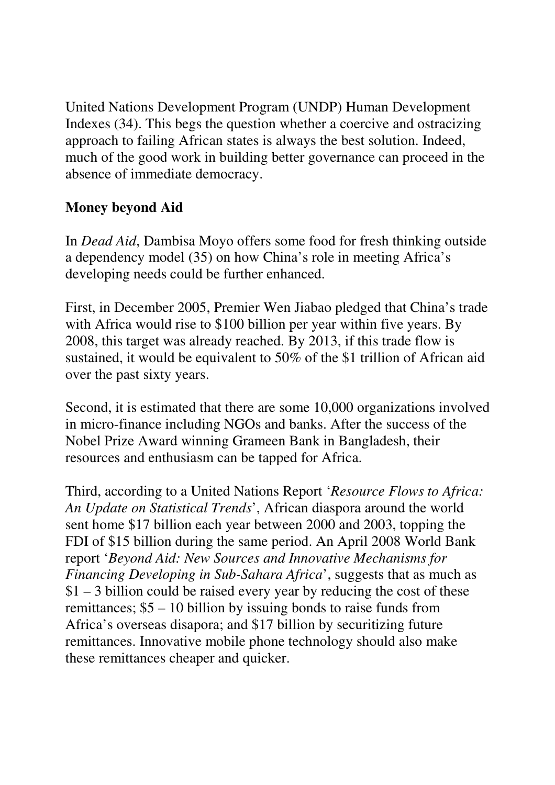United Nations Development Program (UNDP) Human Development Indexes (34). This begs the question whether a coercive and ostracizing approach to failing African states is always the best solution. Indeed, much of the good work in building better governance can proceed in the absence of immediate democracy.

# **Money beyond Aid**

In *Dead Aid*, Dambisa Moyo offers some food for fresh thinking outside a dependency model (35) on how China's role in meeting Africa's developing needs could be further enhanced.

First, in December 2005, Premier Wen Jiabao pledged that China's trade with Africa would rise to \$100 billion per year within five years. By 2008, this target was already reached. By 2013, if this trade flow is sustained, it would be equivalent to 50% of the \$1 trillion of African aid over the past sixty years.

Second, it is estimated that there are some 10,000 organizations involved in micro-finance including NGOs and banks. After the success of the Nobel Prize Award winning Grameen Bank in Bangladesh, their resources and enthusiasm can be tapped for Africa.

Third, according to a United Nations Report '*Resource Flows to Africa: An Update on Statistical Trends*', African diaspora around the world sent home \$17 billion each year between 2000 and 2003, topping the FDI of \$15 billion during the same period. An April 2008 World Bank report '*Beyond Aid: New Sources and Innovative Mechanisms for Financing Developing in Sub-Sahara Africa*', suggests that as much as  $$1 - 3$  billion could be raised every year by reducing the cost of these remittances; \$5 – 10 billion by issuing bonds to raise funds from Africa's overseas disapora; and \$17 billion by securitizing future remittances. Innovative mobile phone technology should also make these remittances cheaper and quicker.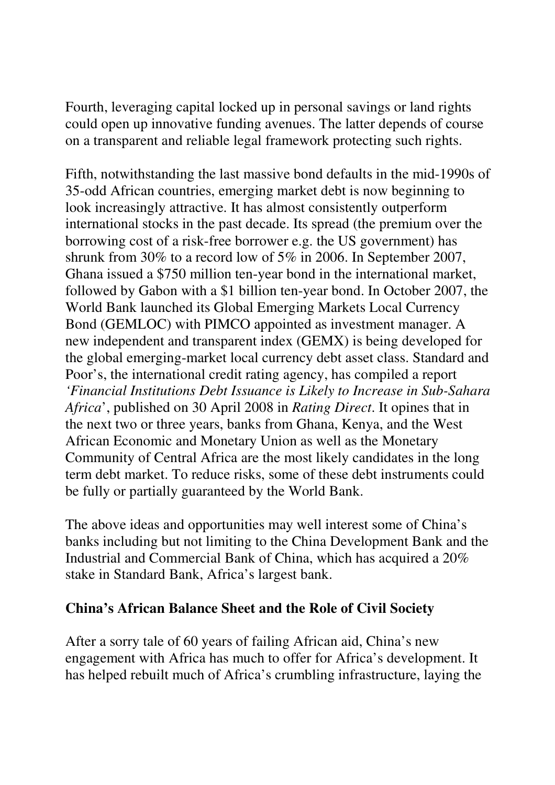Fourth, leveraging capital locked up in personal savings or land rights could open up innovative funding avenues. The latter depends of course on a transparent and reliable legal framework protecting such rights.

Fifth, notwithstanding the last massive bond defaults in the mid-1990s of 35-odd African countries, emerging market debt is now beginning to look increasingly attractive. It has almost consistently outperform international stocks in the past decade. Its spread (the premium over the borrowing cost of a risk-free borrower e.g. the US government) has shrunk from 30% to a record low of 5% in 2006. In September 2007, Ghana issued a \$750 million ten-year bond in the international market, followed by Gabon with a \$1 billion ten-year bond. In October 2007, the World Bank launched its Global Emerging Markets Local Currency Bond (GEMLOC) with PIMCO appointed as investment manager. A new independent and transparent index (GEMX) is being developed for the global emerging-market local currency debt asset class. Standard and Poor's, the international credit rating agency, has compiled a report *'Financial Institutions Debt Issuance is Likely to Increase in Sub-Sahara Africa*', published on 30 April 2008 in *Rating Direct*. It opines that in the next two or three years, banks from Ghana, Kenya, and the West African Economic and Monetary Union as well as the Monetary Community of Central Africa are the most likely candidates in the long term debt market. To reduce risks, some of these debt instruments could be fully or partially guaranteed by the World Bank.

The above ideas and opportunities may well interest some of China's banks including but not limiting to the China Development Bank and the Industrial and Commercial Bank of China, which has acquired a 20% stake in Standard Bank, Africa's largest bank.

# **China's African Balance Sheet and the Role of Civil Society**

After a sorry tale of 60 years of failing African aid, China's new engagement with Africa has much to offer for Africa's development. It has helped rebuilt much of Africa's crumbling infrastructure, laying the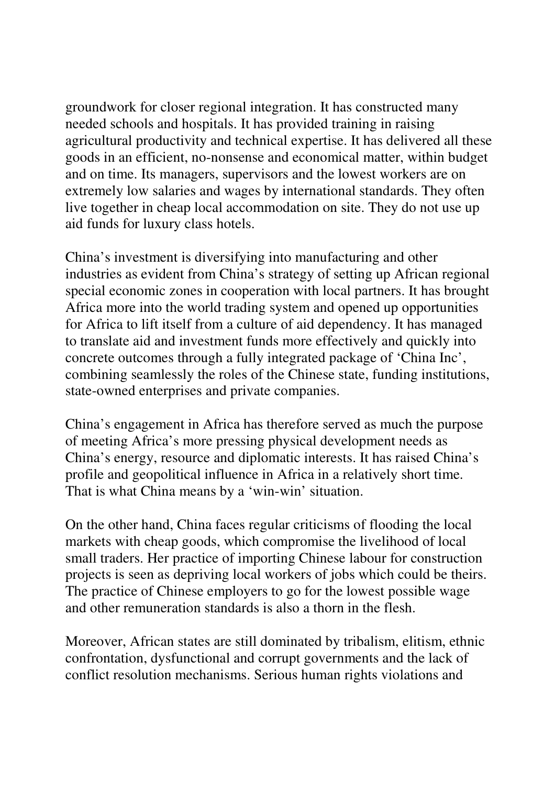groundwork for closer regional integration. It has constructed many needed schools and hospitals. It has provided training in raising agricultural productivity and technical expertise. It has delivered all these goods in an efficient, no-nonsense and economical matter, within budget and on time. Its managers, supervisors and the lowest workers are on extremely low salaries and wages by international standards. They often live together in cheap local accommodation on site. They do not use up aid funds for luxury class hotels.

China's investment is diversifying into manufacturing and other industries as evident from China's strategy of setting up African regional special economic zones in cooperation with local partners. It has brought Africa more into the world trading system and opened up opportunities for Africa to lift itself from a culture of aid dependency. It has managed to translate aid and investment funds more effectively and quickly into concrete outcomes through a fully integrated package of 'China Inc', combining seamlessly the roles of the Chinese state, funding institutions, state-owned enterprises and private companies.

China's engagement in Africa has therefore served as much the purpose of meeting Africa's more pressing physical development needs as China's energy, resource and diplomatic interests. It has raised China's profile and geopolitical influence in Africa in a relatively short time. That is what China means by a 'win-win' situation.

On the other hand, China faces regular criticisms of flooding the local markets with cheap goods, which compromise the livelihood of local small traders. Her practice of importing Chinese labour for construction projects is seen as depriving local workers of jobs which could be theirs. The practice of Chinese employers to go for the lowest possible wage and other remuneration standards is also a thorn in the flesh.

Moreover, African states are still dominated by tribalism, elitism, ethnic confrontation, dysfunctional and corrupt governments and the lack of conflict resolution mechanisms. Serious human rights violations and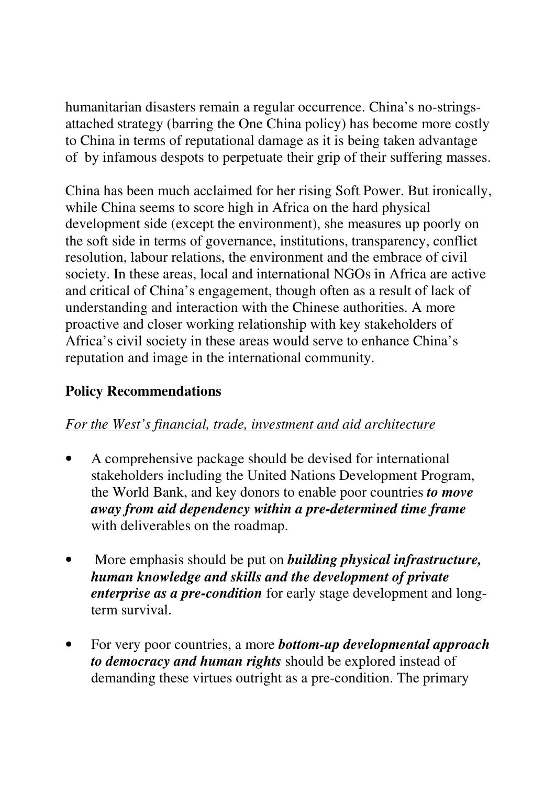humanitarian disasters remain a regular occurrence. China's no-stringsattached strategy (barring the One China policy) has become more costly to China in terms of reputational damage as it is being taken advantage of by infamous despots to perpetuate their grip of their suffering masses.

China has been much acclaimed for her rising Soft Power. But ironically, while China seems to score high in Africa on the hard physical development side (except the environment), she measures up poorly on the soft side in terms of governance, institutions, transparency, conflict resolution, labour relations, the environment and the embrace of civil society. In these areas, local and international NGOs in Africa are active and critical of China's engagement, though often as a result of lack of understanding and interaction with the Chinese authorities. A more proactive and closer working relationship with key stakeholders of Africa's civil society in these areas would serve to enhance China's reputation and image in the international community.

# **Policy Recommendations**

# *For the West's financial, trade, investment and aid architecture*

- A comprehensive package should be devised for international stakeholders including the United Nations Development Program, the World Bank, and key donors to enable poor countries *to move away from aid dependency within a pre-determined time frame* with deliverables on the roadmap.
- More emphasis should be put on *building physical infrastructure, human knowledge and skills and the development of private enterprise as a pre-condition* for early stage development and longterm survival.
- For very poor countries, a more *bottom-up developmental approach to democracy and human rights* should be explored instead of demanding these virtues outright as a pre-condition. The primary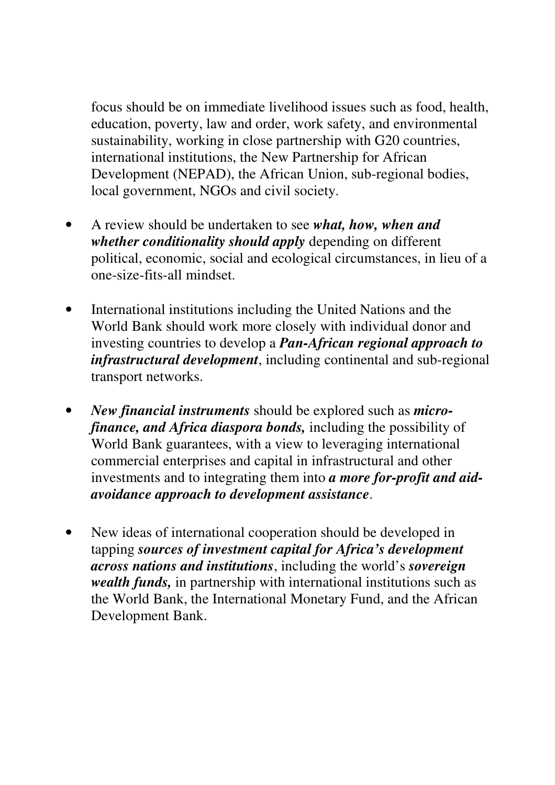focus should be on immediate livelihood issues such as food, health, education, poverty, law and order, work safety, and environmental sustainability, working in close partnership with G20 countries, international institutions, the New Partnership for African Development (NEPAD), the African Union, sub-regional bodies, local government, NGOs and civil society.

- A review should be undertaken to see *what, how, when and whether conditionality should apply* depending on different political, economic, social and ecological circumstances, in lieu of a one-size-fits-all mindset.
- International institutions including the United Nations and the World Bank should work more closely with individual donor and investing countries to develop a *Pan-African regional approach to infrastructural development*, including continental and sub-regional transport networks.
- *New financial instruments* should be explored such as *microfinance, and Africa diaspora bonds,* including the possibility of World Bank guarantees, with a view to leveraging international commercial enterprises and capital in infrastructural and other investments and to integrating them into *a more for-profit and aidavoidance approach to development assistance*.
- New ideas of international cooperation should be developed in tapping *sources of investment capital for Africa's development across nations and institutions*, including the world's *sovereign wealth funds,* in partnership with international institutions such as the World Bank, the International Monetary Fund, and the African Development Bank.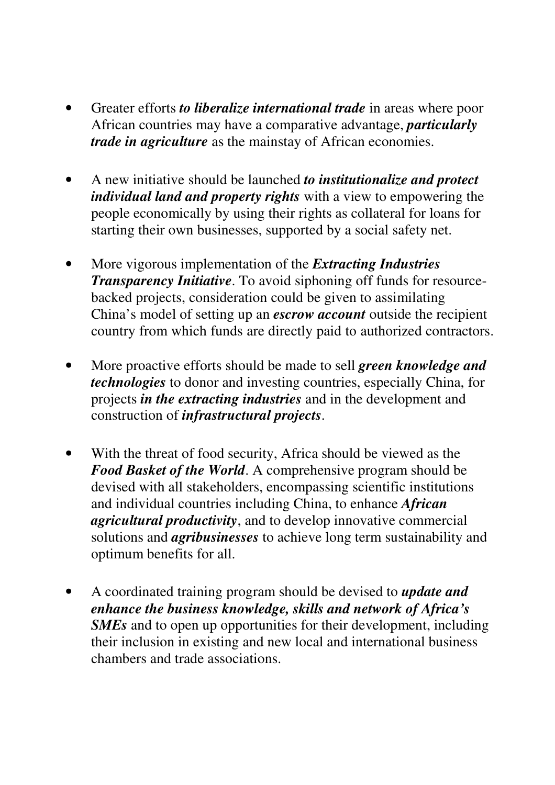- Greater efforts *to liberalize international trade* in areas where poor African countries may have a comparative advantage, *particularly trade in agriculture* as the mainstay of African economies.
- A new initiative should be launched *to institutionalize and protect individual land and property rights* with a view to empowering the people economically by using their rights as collateral for loans for starting their own businesses, supported by a social safety net.
- More vigorous implementation of the *Extracting Industries Transparency Initiative*. To avoid siphoning off funds for resourcebacked projects, consideration could be given to assimilating China's model of setting up an *escrow account* outside the recipient country from which funds are directly paid to authorized contractors.
- More proactive efforts should be made to sell *green knowledge and technologies* to donor and investing countries, especially China, for projects *in the extracting industries* and in the development and construction of *infrastructural projects*.
- With the threat of food security, Africa should be viewed as the *Food Basket of the World*. A comprehensive program should be devised with all stakeholders, encompassing scientific institutions and individual countries including China, to enhance *African agricultural productivity*, and to develop innovative commercial solutions and *agribusinesses* to achieve long term sustainability and optimum benefits for all.
- A coordinated training program should be devised to *update and enhance the business knowledge, skills and network of Africa's SMEs* and to open up opportunities for their development, including their inclusion in existing and new local and international business chambers and trade associations.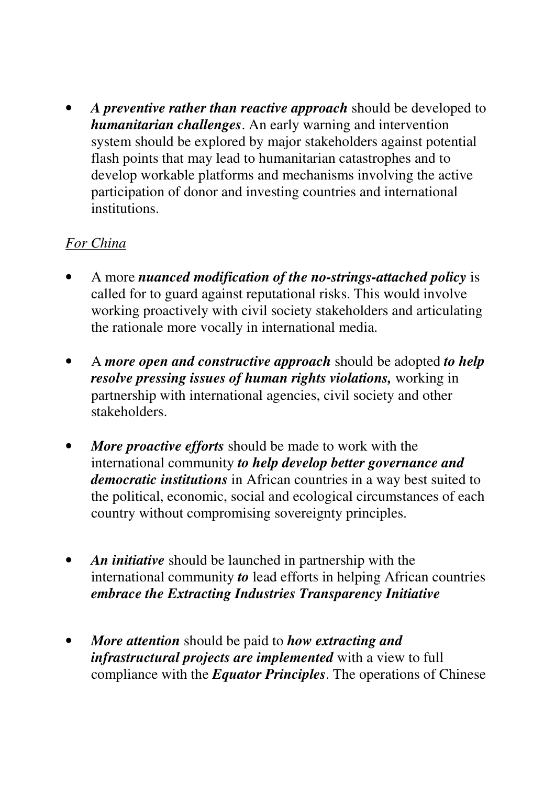• *A preventive rather than reactive approach* should be developed to *humanitarian challenges*. An early warning and intervention system should be explored by major stakeholders against potential flash points that may lead to humanitarian catastrophes and to develop workable platforms and mechanisms involving the active participation of donor and investing countries and international institutions.

# *For China*

- A more *nuanced modification of the no-strings-attached policy* is called for to guard against reputational risks. This would involve working proactively with civil society stakeholders and articulating the rationale more vocally in international media.
- A *more open and constructive approach* should be adopted *to help resolve pressing issues of human rights violations,* working in partnership with international agencies, civil society and other stakeholders.
- *More proactive efforts* should be made to work with the international community *to help develop better governance and democratic institutions* in African countries in a way best suited to the political, economic, social and ecological circumstances of each country without compromising sovereignty principles.
- *An initiative* should be launched in partnership with the international community *to* lead efforts in helping African countries *embrace the Extracting Industries Transparency Initiative*
- *More attention* should be paid to *how extracting and infrastructural projects are implemented* with a view to full compliance with the *Equator Principles*. The operations of Chinese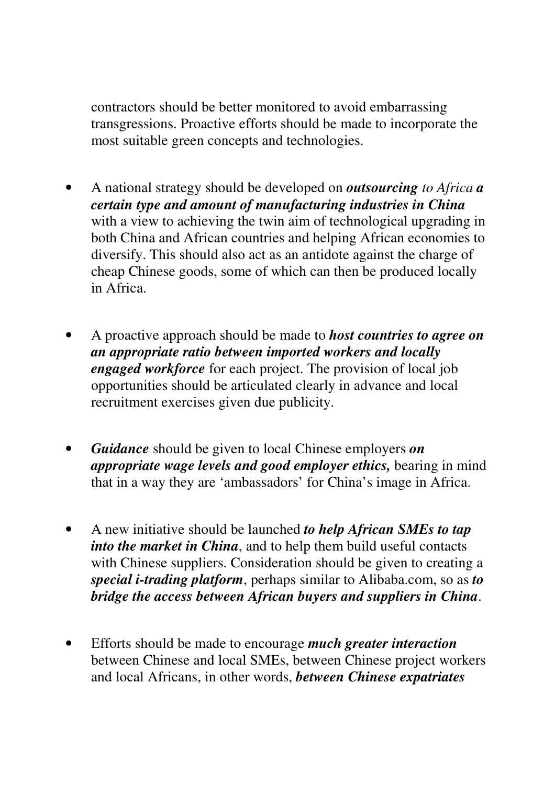contractors should be better monitored to avoid embarrassing transgressions. Proactive efforts should be made to incorporate the most suitable green concepts and technologies.

- A national strategy should be developed on *outsourcing to Africa a certain type and amount of manufacturing industries in China* with a view to achieving the twin aim of technological upgrading in both China and African countries and helping African economies to diversify. This should also act as an antidote against the charge of cheap Chinese goods, some of which can then be produced locally in Africa.
- A proactive approach should be made to *host countries to agree on an appropriate ratio between imported workers and locally engaged workforce* for each project. The provision of local job opportunities should be articulated clearly in advance and local recruitment exercises given due publicity.
- *Guidance* should be given to local Chinese employers *on appropriate wage levels and good employer ethics,* bearing in mind that in a way they are 'ambassadors' for China's image in Africa.
- A new initiative should be launched *to help African SMEs to tap into the market in China*, and to help them build useful contacts with Chinese suppliers. Consideration should be given to creating a *special i-trading platform*, perhaps similar to Alibaba.com, so as *to bridge the access between African buyers and suppliers in China*.
- Efforts should be made to encourage *much greater interaction*  between Chinese and local SMEs, between Chinese project workers and local Africans, in other words, *between Chinese expatriates*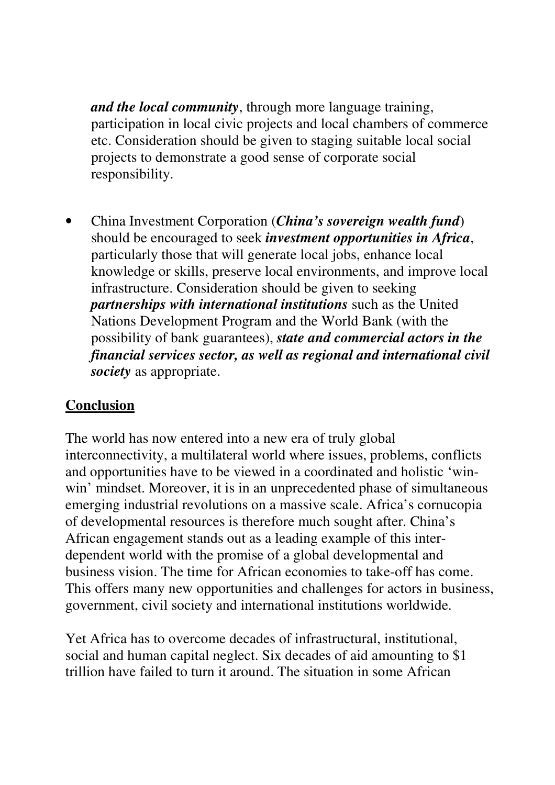*and the local community*, through more language training, participation in local civic projects and local chambers of commerce etc. Consideration should be given to staging suitable local social projects to demonstrate a good sense of corporate social responsibility.

• China Investment Corporation (*China's sovereign wealth fund*) should be encouraged to seek *investment opportunities in Africa*, particularly those that will generate local jobs, enhance local knowledge or skills, preserve local environments, and improve local infrastructure. Consideration should be given to seeking *partnerships with international institutions* such as the United Nations Development Program and the World Bank (with the possibility of bank guarantees), *state and commercial actors in the financial services sector, as well as regional and international civil society* as appropriate.

# **Conclusion**

The world has now entered into a new era of truly global interconnectivity, a multilateral world where issues, problems, conflicts and opportunities have to be viewed in a coordinated and holistic 'winwin' mindset. Moreover, it is in an unprecedented phase of simultaneous emerging industrial revolutions on a massive scale. Africa's cornucopia of developmental resources is therefore much sought after. China's African engagement stands out as a leading example of this interdependent world with the promise of a global developmental and business vision. The time for African economies to take-off has come. This offers many new opportunities and challenges for actors in business, government, civil society and international institutions worldwide.

Yet Africa has to overcome decades of infrastructural, institutional, social and human capital neglect. Six decades of aid amounting to \$1 trillion have failed to turn it around. The situation in some African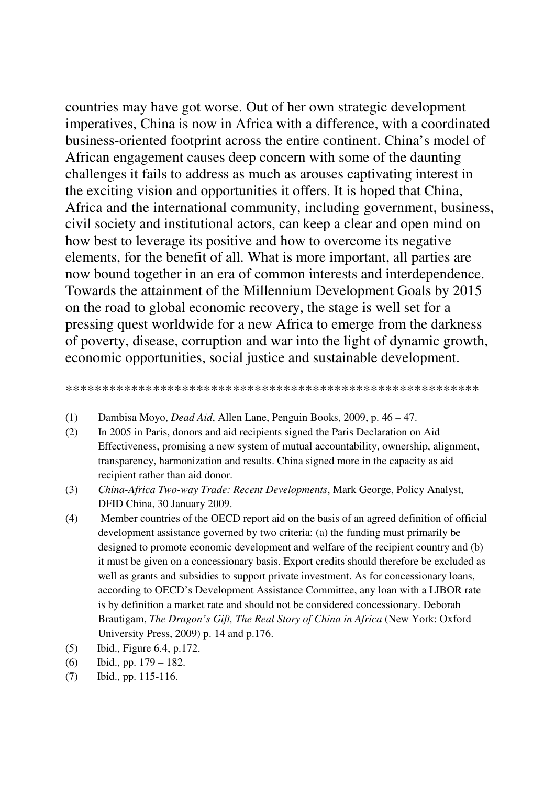countries may have got worse. Out of her own strategic development imperatives, China is now in Africa with a difference, with a coordinated business-oriented footprint across the entire continent. China's model of African engagement causes deep concern with some of the daunting challenges it fails to address as much as arouses captivating interest in the exciting vision and opportunities it offers. It is hoped that China, Africa and the international community, including government, business, civil society and institutional actors, can keep a clear and open mind on how best to leverage its positive and how to overcome its negative elements, for the benefit of all. What is more important, all parties are now bound together in an era of common interests and interdependence. Towards the attainment of the Millennium Development Goals by 2015 on the road to global economic recovery, the stage is well set for a pressing quest worldwide for a new Africa to emerge from the darkness of poverty, disease, corruption and war into the light of dynamic growth, economic opportunities, social justice and sustainable development.

#### \*\*\*\*\*\*\*\*\*\*\*\*\*\*\*\*\*\*\*\*\*\*\*\*\*\*\*\*\*\*\*\*\*\*\*\*\*\*\*\*\*\*\*\*\*\*\*\*\*\*\*\*\*\*\*\*\*

- (1) Dambisa Moyo, *Dead Aid*, Allen Lane, Penguin Books, 2009, p. 46 47.
- (2) In 2005 in Paris, donors and aid recipients signed the Paris Declaration on Aid Effectiveness, promising a new system of mutual accountability, ownership, alignment, transparency, harmonization and results. China signed more in the capacity as aid recipient rather than aid donor.
- (3) *China-Africa Two-way Trade: Recent Developments*, Mark George, Policy Analyst, DFID China, 30 January 2009.
- (4) Member countries of the OECD report aid on the basis of an agreed definition of official development assistance governed by two criteria: (a) the funding must primarily be designed to promote economic development and welfare of the recipient country and (b) it must be given on a concessionary basis. Export credits should therefore be excluded as well as grants and subsidies to support private investment. As for concessionary loans, according to OECD's Development Assistance Committee, any loan with a LIBOR rate is by definition a market rate and should not be considered concessionary. Deborah Brautigam, *The Dragon's Gift, The Real Story of China in Africa* (New York: Oxford University Press, 2009) p. 14 and p.176.
- (5) Ibid., Figure 6.4, p.172.
- (6) Ibid., pp. 179 182.
- (7) Ibid., pp. 115-116.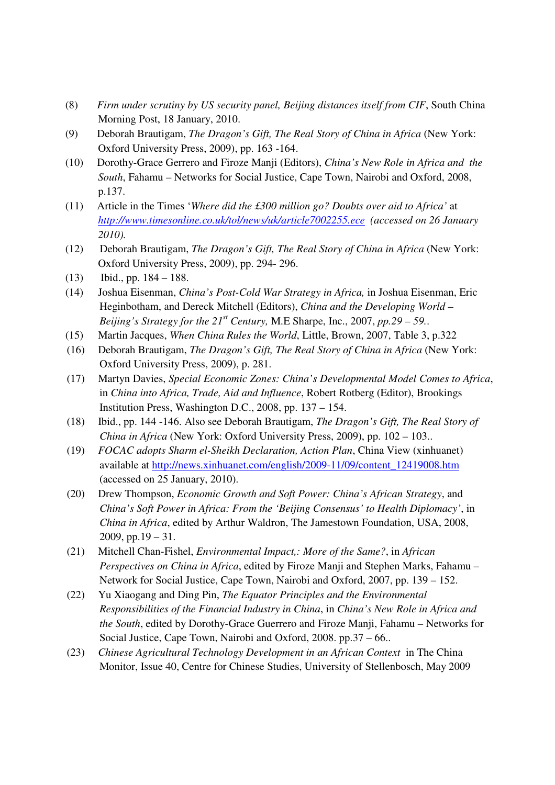- (8) *Firm under scrutiny by US security panel, Beijing distances itself from CIF*, South China Morning Post, 18 January, 2010.
- (9) Deborah Brautigam, *The Dragon's Gift, The Real Story of China in Africa* (New York: Oxford University Press, 2009), pp. 163 -164.
- (10) Dorothy-Grace Gerrero and Firoze Manji (Editors), *China's New Role in Africa and the South*, Fahamu – Networks for Social Justice, Cape Town, Nairobi and Oxford, 2008, p.137.
- (11) Article in the Times '*Where did the £300 million go? Doubts over aid to Africa'* at *http://www.timesonline.co.uk/tol/news/uk/article7002255.ece (accessed on 26 January 2010).*
- (12) Deborah Brautigam, *The Dragon's Gift, The Real Story of China in Africa* (New York: Oxford University Press, 2009), pp. 294- 296.
- (13) Ibid., pp. 184 188.
- (14) Joshua Eisenman, *China's Post-Cold War Strategy in Africa,* in Joshua Eisenman, Eric Heginbotham, and Dereck Mitchell (Editors), *China and the Developing World – Beijing's Strategy for the*  $21^{st}$  *Century, M.E Sharpe, Inc., 2007, pp.29 – 59...*
- (15) Martin Jacques, *When China Rules the World*, Little, Brown, 2007, Table 3, p.322
- (16) Deborah Brautigam, *The Dragon's Gift, The Real Story of China in Africa* (New York: Oxford University Press, 2009), p. 281.
- (17) Martyn Davies, *Special Economic Zones: China's Developmental Model Comes to Africa*, in *China into Africa, Trade, Aid and Influence*, Robert Rotberg (Editor), Brookings Institution Press, Washington D.C., 2008, pp. 137 – 154.
- (18) Ibid., pp. 144 -146. Also see Deborah Brautigam, *The Dragon's Gift, The Real Story of China in Africa* (New York: Oxford University Press, 2009), pp. 102 – 103..
- (19) *FOCAC adopts Sharm el-Sheikh Declaration, Action Plan*, China View (xinhuanet) available at http://news.xinhuanet.com/english/2009-11/09/content\_12419008.htm (accessed on 25 January, 2010).
- (20) Drew Thompson, *Economic Growth and Soft Power: China's African Strategy*, and *China's Soft Power in Africa: From the 'Beijing Consensus' to Health Diplomacy'*, in *China in Africa*, edited by Arthur Waldron, The Jamestown Foundation, USA, 2008, 2009, pp.19 – 31.
- (21) Mitchell Chan-Fishel, *Environmental Impact,: More of the Same?*, in *African Perspectives on China in Africa*, edited by Firoze Manji and Stephen Marks, Fahamu – Network for Social Justice, Cape Town, Nairobi and Oxford, 2007, pp. 139 – 152.
- (22) Yu Xiaogang and Ding Pin, *The Equator Principles and the Environmental Responsibilities of the Financial Industry in China*, in *China's New Role in Africa and the South*, edited by Dorothy-Grace Guerrero and Firoze Manji, Fahamu – Networks for Social Justice, Cape Town, Nairobi and Oxford, 2008. pp.37 – 66..
- (23) *Chinese Agricultural Technology Development in an African Context* in The China Monitor, Issue 40, Centre for Chinese Studies, University of Stellenbosch, May 2009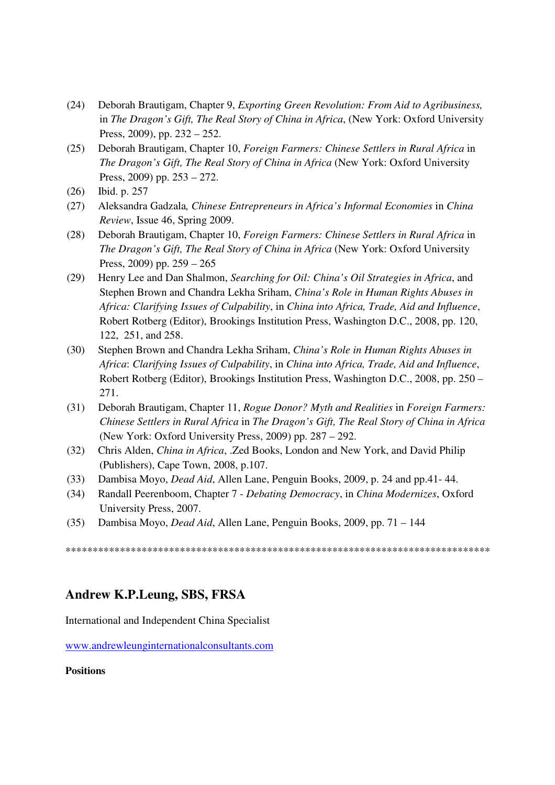- (24) Deborah Brautigam, Chapter 9, *Exporting Green Revolution: From Aid to Agribusiness,*  in *The Dragon's Gift, The Real Story of China in Africa*, (New York: Oxford University Press, 2009), pp. 232 – 252.
- (25) Deborah Brautigam, Chapter 10, *Foreign Farmers: Chinese Settlers in Rural Africa* in *The Dragon's Gift, The Real Story of China in Africa* (New York: Oxford University Press, 2009) pp. 253 – 272.
- (26) Ibid. p. 257
- (27) Aleksandra Gadzala*, Chinese Entrepreneurs in Africa's Informal Economies* in *China Review*, Issue 46, Spring 2009.
- (28) Deborah Brautigam, Chapter 10, *Foreign Farmers: Chinese Settlers in Rural Africa* in *The Dragon's Gift, The Real Story of China in Africa* (New York: Oxford University Press, 2009) pp. 259 – 265
- (29) Henry Lee and Dan Shalmon, *Searching for Oil: China's Oil Strategies in Africa*, and Stephen Brown and Chandra Lekha Sriham, *China's Role in Human Rights Abuses in Africa: Clarifying Issues of Culpability*, in *China into Africa, Trade, Aid and Influence*, Robert Rotberg (Editor), Brookings Institution Press, Washington D.C., 2008, pp. 120, 122, 251, and 258.
- (30) Stephen Brown and Chandra Lekha Sriham, *China's Role in Human Rights Abuses in Africa*: *Clarifying Issues of Culpability*, in *China into Africa, Trade, Aid and Influence*, Robert Rotberg (Editor), Brookings Institution Press, Washington D.C., 2008, pp. 250 – 271.
- (31) Deborah Brautigam, Chapter 11, *Rogue Donor? Myth and Realities* in *Foreign Farmers: Chinese Settlers in Rural Africa* in *The Dragon's Gift, The Real Story of China in Africa* (New York: Oxford University Press, 2009) pp. 287 – 292.
- (32) Chris Alden, *China in Africa*, .Zed Books, London and New York, and David Philip (Publishers), Cape Town, 2008, p.107.
- (33) Dambisa Moyo, *Dead Aid*, Allen Lane, Penguin Books, 2009, p. 24 and pp.41- 44.
- (34) Randall Peerenboom, Chapter 7 *Debating Democracy*, in *China Modernizes*, Oxford University Press, 2007.
- (35) Dambisa Moyo, *Dead Aid*, Allen Lane, Penguin Books, 2009, pp. 71 144

\*\*\*\*\*\*\*\*\*\*\*\*\*\*\*\*\*\*\*\*\*\*\*\*\*\*\*\*\*\*\*\*\*\*\*\*\*\*\*\*\*\*\*\*\*\*\*\*\*\*\*\*\*\*\*\*\*\*\*\*\*\*\*\*\*\*\*\*\*\*\*\*\*\*\*\*\*\*

#### **Andrew K.P.Leung, SBS, FRSA**

International and Independent China Specialist

www.andrewleunginternationalconsultants.com

**Positions**